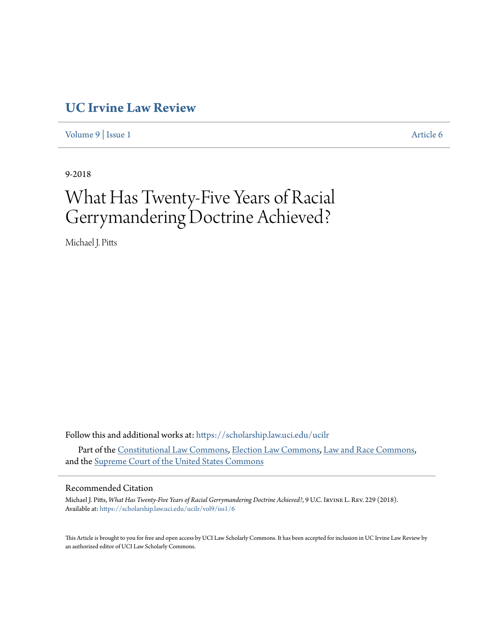## **[UC Irvine Law Review](https://scholarship.law.uci.edu/ucilr?utm_source=scholarship.law.uci.edu%2Fucilr%2Fvol9%2Fiss1%2F6&utm_medium=PDF&utm_campaign=PDFCoverPages)**

[Volume 9](https://scholarship.law.uci.edu/ucilr/vol9?utm_source=scholarship.law.uci.edu%2Fucilr%2Fvol9%2Fiss1%2F6&utm_medium=PDF&utm_campaign=PDFCoverPages) | [Issue 1](https://scholarship.law.uci.edu/ucilr/vol9/iss1?utm_source=scholarship.law.uci.edu%2Fucilr%2Fvol9%2Fiss1%2F6&utm_medium=PDF&utm_campaign=PDFCoverPages) [Article 6](https://scholarship.law.uci.edu/ucilr/vol9/iss1/6?utm_source=scholarship.law.uci.edu%2Fucilr%2Fvol9%2Fiss1%2F6&utm_medium=PDF&utm_campaign=PDFCoverPages)

9-2018

# What Has Twenty-Five Years of Racial Gerrymandering Doctrine Achieved?

Michael J. Pitts

Follow this and additional works at: [https://scholarship.law.uci.edu/ucilr](https://scholarship.law.uci.edu/ucilr?utm_source=scholarship.law.uci.edu%2Fucilr%2Fvol9%2Fiss1%2F6&utm_medium=PDF&utm_campaign=PDFCoverPages) Part of the [Constitutional Law Commons,](http://network.bepress.com/hgg/discipline/589?utm_source=scholarship.law.uci.edu%2Fucilr%2Fvol9%2Fiss1%2F6&utm_medium=PDF&utm_campaign=PDFCoverPages) [Election Law Commons](http://network.bepress.com/hgg/discipline/1121?utm_source=scholarship.law.uci.edu%2Fucilr%2Fvol9%2Fiss1%2F6&utm_medium=PDF&utm_campaign=PDFCoverPages), [Law and Race Commons,](http://network.bepress.com/hgg/discipline/1300?utm_source=scholarship.law.uci.edu%2Fucilr%2Fvol9%2Fiss1%2F6&utm_medium=PDF&utm_campaign=PDFCoverPages) and the [Supreme Court of the United States Commons](http://network.bepress.com/hgg/discipline/1350?utm_source=scholarship.law.uci.edu%2Fucilr%2Fvol9%2Fiss1%2F6&utm_medium=PDF&utm_campaign=PDFCoverPages)

### Recommended Citation

Michael J. Pitts, *What Has Twenty-Five Years of Racial Gerrymandering Doctrine Achieved?*, 9 U.C. Irvine L. Rev. 229 (2018). Available at: [https://scholarship.law.uci.edu/ucilr/vol9/iss1/6](https://scholarship.law.uci.edu/ucilr/vol9/iss1/6?utm_source=scholarship.law.uci.edu%2Fucilr%2Fvol9%2Fiss1%2F6&utm_medium=PDF&utm_campaign=PDFCoverPages)

This Article is brought to you for free and open access by UCI Law Scholarly Commons. It has been accepted for inclusion in UC Irvine Law Review by an authorized editor of UCI Law Scholarly Commons.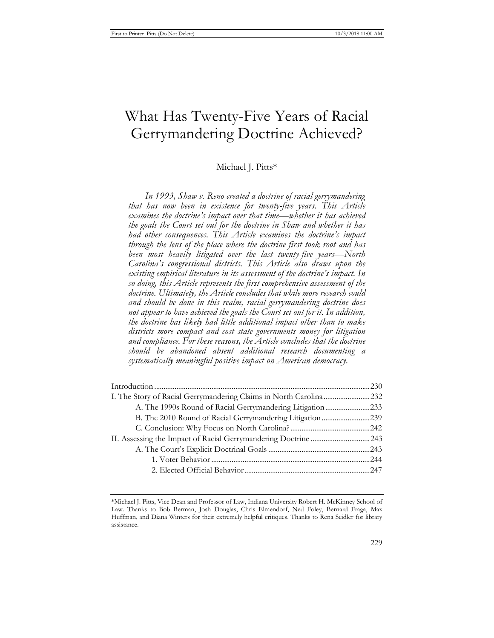# What Has Twenty-Five Years of Racial Gerrymandering Doctrine Achieved?

Michael I. Pitts\*

*In 1993, Shaw v. Reno created a doctrine of racial gerrymandering that has now been in existence for twenty-five years. This Article examines the doctrine's impact over that time—whether it has achieved the goals the Court set out for the doctrine in Shaw and whether it has had other consequences. This Article examines the doctrine's impact through the lens of the place where the doctrine first took root and has been most heavily litigated over the last twenty-five years—North Carolina's congressional districts. This Article also draws upon the existing empirical literature in its assessment of the doctrine's impact. In so doing, this Article represents the first comprehensive assessment of the doctrine. Ultimately, the Article concludes that while more research could and should be done in this realm, racial gerrymandering doctrine does not appear to have achieved the goals the Court set out for it. In addition, the doctrine has likely had little additional impact other than to make districts more compact and cost state governments money for litigation and compliance. For these reasons, the Article concludes that the doctrine should be abandoned absent additional research documenting a systematically meaningful positive impact on American democracy.* 

| A. The 1990s Round of Racial Gerrymandering Litigation233 |  |
|-----------------------------------------------------------|--|
|                                                           |  |
|                                                           |  |
|                                                           |  |
|                                                           |  |
|                                                           |  |
|                                                           |  |
|                                                           |  |

<sup>\*</sup>Michael J. Pitts, Vice Dean and Professor of Law, Indiana University Robert H. McKinney School of Law. Thanks to Bob Berman, Josh Douglas, Chris Elmendorf, Ned Foley, Bernard Fraga, Max Huffman, and Diana Winters for their extremely helpful critiques. Thanks to Rena Seidler for library assistance.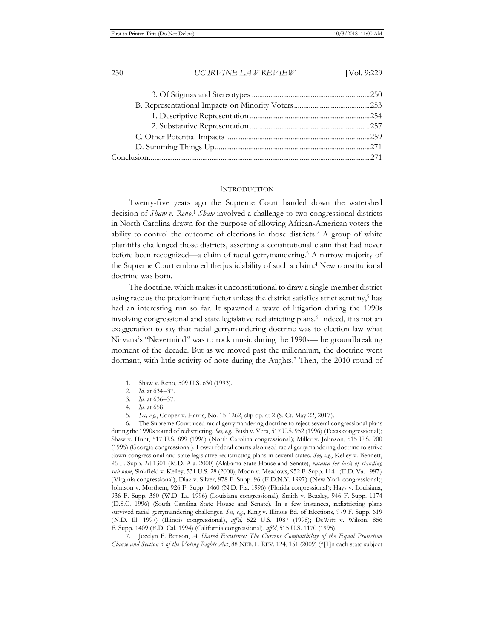#### **INTRODUCTION**

Twenty-five years ago the Supreme Court handed down the watershed decision of *Shaw v. Reno*. <sup>1</sup> *Shaw* involved a challenge to two congressional districts in North Carolina drawn for the purpose of allowing African-American voters the ability to control the outcome of elections in those districts.2 A group of white plaintiffs challenged those districts, asserting a constitutional claim that had never before been recognized—a claim of racial gerrymandering.3 A narrow majority of the Supreme Court embraced the justiciability of such a claim.4 New constitutional doctrine was born.

The doctrine, which makes it unconstitutional to draw a single-member district using race as the predominant factor unless the district satisfies strict scrutiny,<sup>5</sup> has had an interesting run so far. It spawned a wave of litigation during the 1990s involving congressional and state legislative redistricting plans.6 Indeed, it is not an exaggeration to say that racial gerrymandering doctrine was to election law what Nirvana's "Nevermind" was to rock music during the 1990s—the groundbreaking moment of the decade. But as we moved past the millennium, the doctrine went dormant, with little activity of note during the Aughts.7 Then, the 2010 round of

6. The Supreme Court used racial gerrymandering doctrine to reject several congressional plans during the 1990s round of redistricting. *See, e.g.*, Bush v. Vera, 517 U.S. 952 (1996) (Texas congressional); Shaw v. Hunt, 517 U.S. 899 (1996) (North Carolina congressional); Miller v. Johnson, 515 U.S. 900 (1995) (Georgia congressional). Lower federal courts also used racial gerrymandering doctrine to strike down congressional and state legislative redistricting plans in several states. *See, e.g.*, Kelley v. Bennett, 96 F. Supp. 2d 1301 (M.D. Ala. 2000) (Alabama State House and Senate), *vacated for lack of standing sub nom*, Sinkfield v. Kelley, 531 U.S. 28 (2000); Moon v. Meadows, 952 F. Supp. 1141 (E.D. Va. 1997) (Virginia congressional); Diaz v. Silver, 978 F. Supp. 96 (E.D.N.Y. 1997) (New York congressional); Johnson v. Morthem, 926 F. Supp. 1460 (N.D. Fla. 1996) (Florida congressional); Hays v. Louisiana, 936 F. Supp. 360 (W.D. La. 1996) (Louisiana congressional); Smith v. Beasley, 946 F. Supp. 1174 (D.S.C. 1996) (South Carolina State House and Senate). In a few instances, redistricting plans survived racial gerrymandering challenges. *See, e.g.*, King v. Illinois Bd. of Elections, 979 F. Supp. 619 (N.D. Ill. 1997) (Illinois congressional), *aff'd*, 522 U.S. 1087 (1998); DeWitt v. Wilson, 856 F. Supp. 1409 (E.D. Cal. 1994) (California congressional), *aff'd*, 515 U.S. 1170 (1995).

7. Jocelyn F. Benson, *A Shared Existence: The Current Compatibility of the Equal Protection Clause and Section 5 of the Voting Rights Act*, 88 NEB. L. REV. 124, 151 (2009) ("[I]n each state subject

<sup>1.</sup> Shaw v. Reno, 509 U.S. 630 (1993).

<sup>2</sup>*. Id.* at 634–37.

<sup>3</sup>*. Id.* at 636–37.

<sup>4</sup>*. Id.* at 658.

<sup>5</sup>*. See, e.g.*, Cooper v. Harris, No. 15-1262, slip op. at 2 (S. Ct. May 22, 2017).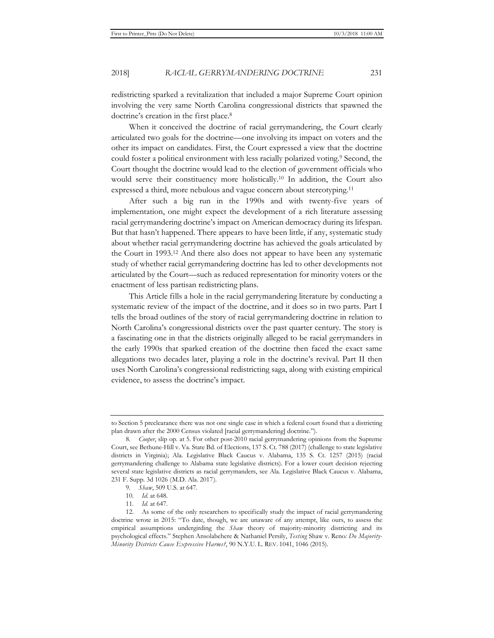redistricting sparked a revitalization that included a major Supreme Court opinion involving the very same North Carolina congressional districts that spawned the doctrine's creation in the first place.<sup>8</sup>

When it conceived the doctrine of racial gerrymandering, the Court clearly articulated two goals for the doctrine—one involving its impact on voters and the other its impact on candidates. First, the Court expressed a view that the doctrine could foster a political environment with less racially polarized voting.<sup>9</sup> Second, the Court thought the doctrine would lead to the election of government officials who would serve their constituency more holistically.10 In addition, the Court also expressed a third, more nebulous and vague concern about stereotyping.<sup>11</sup>

After such a big run in the 1990s and with twenty-five years of implementation, one might expect the development of a rich literature assessing racial gerrymandering doctrine's impact on American democracy during its lifespan. But that hasn't happened. There appears to have been little, if any, systematic study about whether racial gerrymandering doctrine has achieved the goals articulated by the Court in 1993.12 And there also does not appear to have been any systematic study of whether racial gerrymandering doctrine has led to other developments not articulated by the Court—such as reduced representation for minority voters or the enactment of less partisan redistricting plans.

This Article fills a hole in the racial gerrymandering literature by conducting a systematic review of the impact of the doctrine, and it does so in two parts. Part I tells the broad outlines of the story of racial gerrymandering doctrine in relation to North Carolina's congressional districts over the past quarter century. The story is a fascinating one in that the districts originally alleged to be racial gerrymanders in the early 1990s that sparked creation of the doctrine then faced the exact same allegations two decades later, playing a role in the doctrine's revival. Part II then uses North Carolina's congressional redistricting saga, along with existing empirical evidence, to assess the doctrine's impact.

to Section 5 preclearance there was not one single case in which a federal court found that a districting plan drawn after the 2000 Census violated [racial gerrymandering] doctrine.").

<sup>8</sup>*. Cooper*, slip op. at 5. For other post-2010 racial gerrymandering opinions from the Supreme Court, see Bethune-Hill v. Va. State Bd. of Elections, 137 S. Ct. 788 (2017) (challenge to state legislative districts in Virginia); Ala. Legislative Black Caucus v. Alabama, 135 S. Ct. 1257 (2015) (racial gerrymandering challenge to Alabama state legislative districts). For a lower court decision rejecting several state legislative districts as racial gerrymanders, see Ala. Legislative Black Caucus v. Alabama, 231 F. Supp. 3d 1026 (M.D. Ala. 2017).

<sup>9</sup>*. Shaw*, 509 U.S. at 647.

<sup>10</sup>*. Id.* at 648.

<sup>11</sup>*. Id.* at 647.

<sup>12.</sup> As some of the only researchers to specifically study the impact of racial gerrymandering doctrine wrote in 2015: "To date, though, we are unaware of any attempt, like ours, to assess the empirical assumptions undergirding the *Shaw* theory of majority-minority districting and its psychological effects." Stephen Ansolabehere & Nathaniel Persily, *Testing* Shaw v. Reno*: Do Majority-Minority Districts Cause Expressive Harms?*, 90 N.Y.U. L. REV. 1041, 1046 (2015).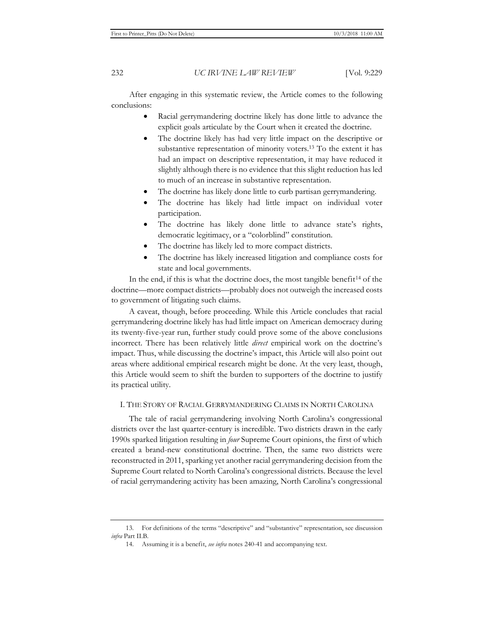After engaging in this systematic review, the Article comes to the following conclusions:

- Racial gerrymandering doctrine likely has done little to advance the explicit goals articulate by the Court when it created the doctrine.
- The doctrine likely has had very little impact on the descriptive or substantive representation of minority voters.13 To the extent it has had an impact on descriptive representation, it may have reduced it slightly although there is no evidence that this slight reduction has led to much of an increase in substantive representation.
- The doctrine has likely done little to curb partisan gerrymandering.
- The doctrine has likely had little impact on individual voter participation.
- The doctrine has likely done little to advance state's rights, democratic legitimacy, or a "colorblind" constitution.
- The doctrine has likely led to more compact districts.
- The doctrine has likely increased litigation and compliance costs for state and local governments.

In the end, if this is what the doctrine does, the most tangible benefit<sup>14</sup> of the doctrine—more compact districts—probably does not outweigh the increased costs to government of litigating such claims.

A caveat, though, before proceeding. While this Article concludes that racial gerrymandering doctrine likely has had little impact on American democracy during its twenty-five-year run, further study could prove some of the above conclusions incorrect. There has been relatively little *direct* empirical work on the doctrine's impact. Thus, while discussing the doctrine's impact, this Article will also point out areas where additional empirical research might be done. At the very least, though, this Article would seem to shift the burden to supporters of the doctrine to justify its practical utility.

## I. THE STORY OF RACIAL GERRYMANDERING CLAIMS IN NORTH CAROLINA

The tale of racial gerrymandering involving North Carolina's congressional districts over the last quarter-century is incredible. Two districts drawn in the early 1990s sparked litigation resulting in *four* Supreme Court opinions, the first of which created a brand-new constitutional doctrine. Then, the same two districts were reconstructed in 2011, sparking yet another racial gerrymandering decision from the Supreme Court related to North Carolina's congressional districts. Because the level of racial gerrymandering activity has been amazing, North Carolina's congressional

<sup>13.</sup> For definitions of the terms "descriptive" and "substantive" representation, see discussion *infra* Part II.B.

<sup>14.</sup> Assuming it is a benefit, *see infra* notes 240-41 and accompanying text.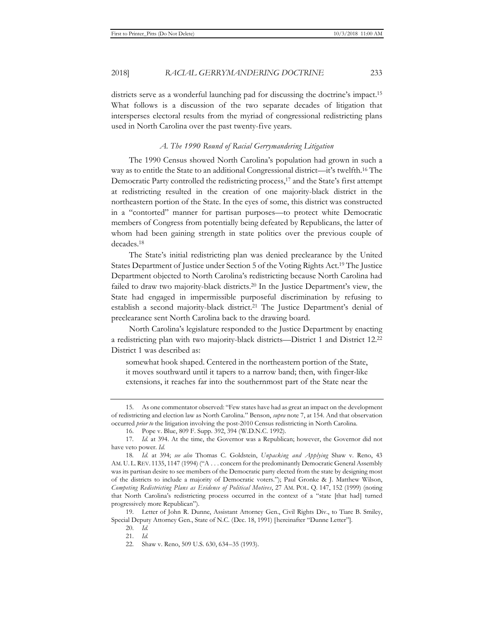districts serve as a wonderful launching pad for discussing the doctrine's impact.15 What follows is a discussion of the two separate decades of litigation that intersperses electoral results from the myriad of congressional redistricting plans used in North Carolina over the past twenty-five years.

#### *A. The 1990 Round of Racial Gerrymandering Litigation*

The 1990 Census showed North Carolina's population had grown in such a way as to entitle the State to an additional Congressional district—it's twelfth.16 The Democratic Party controlled the redistricting process,<sup>17</sup> and the State's first attempt at redistricting resulted in the creation of one majority-black district in the northeastern portion of the State. In the eyes of some, this district was constructed in a "contorted" manner for partisan purposes—to protect white Democratic members of Congress from potentially being defeated by Republicans, the latter of whom had been gaining strength in state politics over the previous couple of decades.18

The State's initial redistricting plan was denied preclearance by the United States Department of Justice under Section 5 of the Voting Rights Act.19 The Justice Department objected to North Carolina's redistricting because North Carolina had failed to draw two majority-black districts.20 In the Justice Department's view, the State had engaged in impermissible purposeful discrimination by refusing to establish a second majority-black district.21 The Justice Department's denial of preclearance sent North Carolina back to the drawing board.

North Carolina's legislature responded to the Justice Department by enacting a redistricting plan with two majority-black districts—District 1 and District 12.22 District 1 was described as:

somewhat hook shaped. Centered in the northeastern portion of the State, it moves southward until it tapers to a narrow band; then, with finger-like extensions, it reaches far into the southernmost part of the State near the

<sup>15.</sup> As one commentator observed: "Few states have had as great an impact on the development of redistricting and election law as North Carolina." Benson, *supra* note 7, at 154. And that observation occurred *prior to* the litigation involving the post-2010 Census redistricting in North Carolina.

<sup>16.</sup> Pope v. Blue, 809 F. Supp. 392, 394 (W.D.N.C. 1992).

<sup>17</sup>*. Id.* at 394. At the time, the Governor was a Republican; however, the Governor did not have veto power. *Id.* 

<sup>18</sup>*. Id.* at 394; *see also* Thomas C. Goldstein, *Unpacking and Applying* Shaw v. Reno, 43 AM. U. L. REV. 1135, 1147 (1994) ("A . . . concern for the predominantly Democratic General Assembly was its partisan desire to see members of the Democratic party elected from the state by designing most of the districts to include a majority of Democratic voters."); Paul Gronke & J. Matthew Wilson, *Competing Redistricting Plans as Evidence of Political Motives*, 27 AM. POL. Q. 147, 152 (1999) (noting that North Carolina's redistricting process occurred in the context of a "state [that had] turned progressively more Republican").

<sup>19.</sup> Letter of John R. Dunne, Assistant Attorney Gen., Civil Rights Div., to Tiare B. Smiley, Special Deputy Attorney Gen., State of N.C. (Dec. 18, 1991) [hereinafter "Dunne Letter"].

<sup>20.</sup> *Id.*

<sup>21.</sup> *Id.*

<sup>22.</sup> Shaw v. Reno, 509 U.S. 630, 634–35 (1993).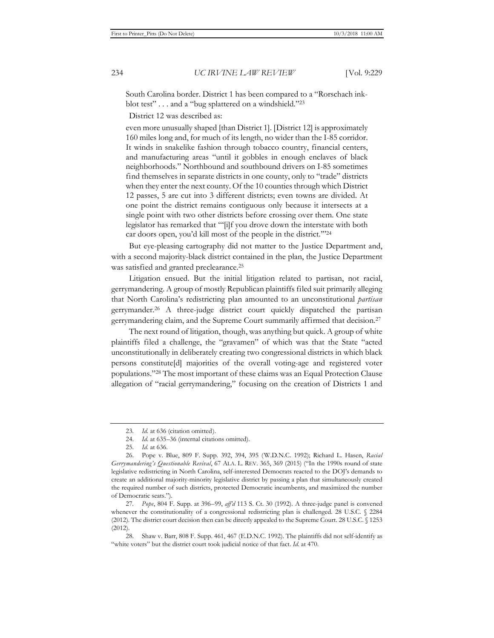South Carolina border. District 1 has been compared to a "Rorschach inkblot test" . . . and a "bug splattered on a windshield."23

District 12 was described as:

even more unusually shaped [than District 1]. [District 12] is approximately 160 miles long and, for much of its length, no wider than the I-85 corridor. It winds in snakelike fashion through tobacco country, financial centers, and manufacturing areas "until it gobbles in enough enclaves of black neighborhoods." Northbound and southbound drivers on I-85 sometimes find themselves in separate districts in one county, only to "trade" districts when they enter the next county. Of the 10 counties through which District 12 passes, 5 are cut into 3 different districts; even towns are divided. At one point the district remains contiguous only because it intersects at a single point with two other districts before crossing over them. One state legislator has remarked that "'[i]f you drove down the interstate with both car doors open, you'd kill most of the people in the district.'"24

But eye-pleasing cartography did not matter to the Justice Department and, with a second majority-black district contained in the plan, the Justice Department was satisfied and granted preclearance.<sup>25</sup>

Litigation ensued. But the initial litigation related to partisan, not racial, gerrymandering. A group of mostly Republican plaintiffs filed suit primarily alleging that North Carolina's redistricting plan amounted to an unconstitutional *partisan* gerrymander.26 A three-judge district court quickly dispatched the partisan gerrymandering claim, and the Supreme Court summarily affirmed that decision.27

The next round of litigation, though, was anything but quick. A group of white plaintiffs filed a challenge, the "gravamen" of which was that the State "acted unconstitutionally in deliberately creating two congressional districts in which black persons constitute[d] majorities of the overall voting-age and registered voter populations."28 The most important of these claims was an Equal Protection Clause allegation of "racial gerrymandering," focusing on the creation of Districts 1 and

<sup>23</sup>*. Id.* at 636 (citation omitted).

<sup>24.</sup> *Id.* at 635–36 (internal citations omitted).

<sup>25.</sup> *Id.* at 636.

<sup>26.</sup> Pope v. Blue, 809 F. Supp. 392, 394, 395 (W.D.N.C. 1992); Richard L. Hasen, *Racial Gerrymandering's Questionable Revival*, 67 ALA. L. REV. 365, 369 (2015) ("In the 1990s round of state legislative redistricting in North Carolina, self-interested Democrats reacted to the DOJ's demands to create an additional majority-minority legislative district by passing a plan that simultaneously created the required number of such districts, protected Democratic incumbents, and maximized the number of Democratic seats.").

<sup>27</sup>*. Pope*, 804 F. Supp. at 396–99, *aff'd* 113 S. Ct. 30 (1992). A three-judge panel is convened whenever the constitutionality of a congressional redistricting plan is challenged. 28 U.S.C. § 2284 (2012). The district court decision then can be directly appealed to the Supreme Court. 28 U.S.C. § 1253 (2012).

<sup>28.</sup> Shaw v. Barr, 808 F. Supp. 461, 467 (E.D.N.C. 1992). The plaintiffs did not self-identify as "white voters" but the district court took judicial notice of that fact. *Id.* at 470.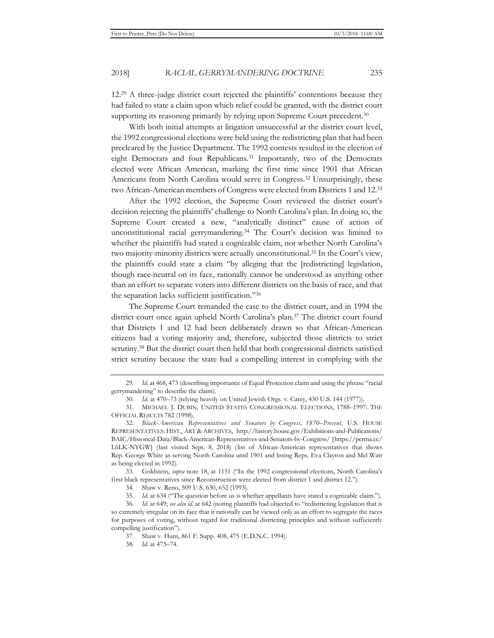12.29 A three-judge district court rejected the plaintiffs' contentions because they had failed to state a claim upon which relief could be granted, with the district court supporting its reasoning primarily by relying upon Supreme Court precedent.<sup>30</sup>

With both initial attempts at litigation unsuccessful at the district court level, the 1992 congressional elections were held using the redistricting plan that had been precleared by the Justice Department. The 1992 contests resulted in the election of eight Democrats and four Republicans.<sup>31</sup> Importantly, two of the Democrats elected were African American, marking the first time since 1901 that African Americans from North Carolina would serve in Congress.32 Unsurprisingly, these two African-American members of Congress were elected from Districts 1 and 12.33

After the 1992 election, the Supreme Court reviewed the district court's decision rejecting the plaintiffs' challenge to North Carolina's plan. In doing so, the Supreme Court created a new, "analytically distinct" cause of action of unconstitutional racial gerrymandering.34 The Court's decision was limited to whether the plaintiffs had stated a cognizable claim, not whether North Carolina's two majority-minority districts were actually unconstitutional.35 In the Court's view, the plaintiffs could state a claim "by alleging that the [redistricting] legislation, though race-neutral on its face, rationally cannot be understood as anything other than an effort to separate voters into different districts on the basis of race, and that the separation lacks sufficient justification."36

The Supreme Court remanded the case to the district court, and in 1994 the district court once again upheld North Carolina's plan.37 The district court found that Districts 1 and 12 had been deliberately drawn so that African-American citizens had a voting majority and, therefore, subjected those districts to strict scrutiny.38 But the district court then held that both congressional districts satisfied strict scrutiny because the state had a compelling interest in complying with the

33. Goldstein, *supra* note 18, at 1151 ("In the 1992 congressional elections, North Carolina's first black representatives since Reconstruction were elected from district 1 and district 12.").

34. Shaw v. Reno, 509 U.S. 630, 652 (1993).

35*. Id.* at 634 ("The question before us is whether appellants have stated a cognizable claim.").

<sup>29</sup>*. Id.* at 468, 473 (describing importance of Equal Protection claim and using the phrase "racial gerrymandering" to describe the claim).

<sup>30</sup>*. Id.* at 470–73 (relying heavily on United Jewish Orgs. v. Carey, 430 U.S. 144 (1977)).

<sup>31.</sup> MICHAEL J. DUBIN, UNITED STATES CONGRESSIONAL ELECTIONS, 1788–1997: THE OFFICIAL RESULTS 782 (1998).

<sup>32.</sup> *Black-American Representatives and Senators by Congress, 1870–Present*, U.S. HOUSE REPRESENTATIVES: HIST., ART & ARCHIVES, http://history.house.gov/Exhibitions-and-Publications/ BAIC/Historical-Data/Black-American-Representatives-and-Senators-by-Congress/ [https://perma.cc/ L6LK-NYGW] (last visited Sept. 8, 2018) (list of African-American representatives that shows Rep. George White as serving North Carolina until 1901 and listing Reps. Eva Clayton and Mel Watt as being elected in 1992).

<sup>36</sup>*. Id.* at 649; *see also id.* at 642 (noting plaintiffs had objected to "redistricting legislation that is so extremely irregular on its face that it rationally can be viewed only as an effort to segregate the races for purposes of voting, without regard for traditional districting principles and without sufficiently compelling justification").

<sup>37.</sup> Shaw v. Hunt, 861 F. Supp. 408, 475 (E.D.N.C. 1994).

<sup>38</sup>*. Id.* at 473–74.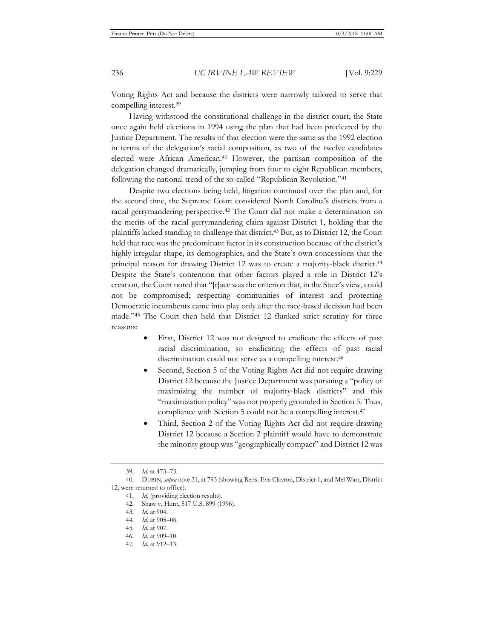Voting Rights Act and because the districts were narrowly tailored to serve that compelling interest.39

Having withstood the constitutional challenge in the district court, the State once again held elections in 1994 using the plan that had been precleared by the Justice Department. The results of that election were the same as the 1992 election in terms of the delegation's racial composition, as two of the twelve candidates elected were African American.40 However, the partisan composition of the delegation changed dramatically, jumping from four to eight Republican members, following the national trend of the so-called "Republican Revolution."41

Despite two elections being held, litigation continued over the plan and, for the second time, the Supreme Court considered North Carolina's districts from a racial gerrymandering perspective.42 The Court did not make a determination on the merits of the racial gerrymandering claim against District 1, holding that the plaintiffs lacked standing to challenge that district.43 But, as to District 12, the Court held that race was the predominant factor in its construction because of the district's highly irregular shape, its demographics, and the State's own concessions that the principal reason for drawing District 12 was to create a majority-black district.44 Despite the State's contention that other factors played a role in District 12's creation, the Court noted that "[r]ace was the criterion that, in the State's view, could not be compromised; respecting communities of interest and protecting Democratic incumbents came into play only after the race-based decision had been made."45 The Court then held that District 12 flunked strict scrutiny for three reasons:

- First, District 12 was not designed to eradicate the effects of past racial discrimination, so eradicating the effects of past racial discrimination could not serve as a compelling interest.<sup>46</sup>
- Second, Section 5 of the Voting Rights Act did not require drawing District 12 because the Justice Department was pursuing a "policy of maximizing the number of majority-black districts" and this "maximization policy" was not properly grounded in Section 5. Thus, compliance with Section 5 could not be a compelling interest.<sup>47</sup>
- Third, Section 2 of the Voting Rights Act did not require drawing District 12 because a Section 2 plaintiff would have to demonstrate the minority group was "geographically compact" and District 12 was

<sup>39</sup>*. Id.* at 473–75.

<sup>40.</sup> DUBIN, *supra* note 31, at 793 (showing Reps. Eva Clayton, District 1, and Mel Watt, District 12, were returned to office).

<sup>41.</sup> *Id.* (providing election results).

<sup>42.</sup> Shaw v. Hunt, 517 U.S. 899 (1996).

<sup>43</sup>*. Id.* at 904.

<sup>44</sup>*. Id.* at 905–06.

<sup>45</sup>*. Id.* at 907.

<sup>46</sup>*. Id.* at 909–10.

<sup>47</sup>*. Id.* at 912–13.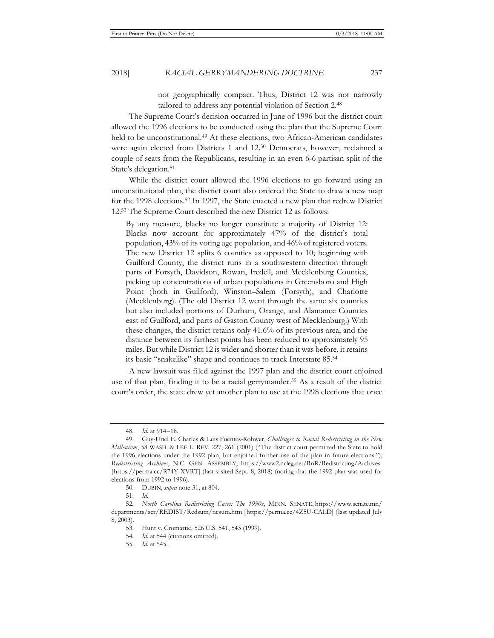not geographically compact. Thus, District 12 was not narrowly tailored to address any potential violation of Section 2.48

The Supreme Court's decision occurred in June of 1996 but the district court allowed the 1996 elections to be conducted using the plan that the Supreme Court held to be unconstitutional.<sup>49</sup> At these elections, two African-American candidates were again elected from Districts 1 and 12.50 Democrats, however, reclaimed a couple of seats from the Republicans, resulting in an even 6-6 partisan split of the State's delegation.<sup>51</sup>

While the district court allowed the 1996 elections to go forward using an unconstitutional plan, the district court also ordered the State to draw a new map for the 1998 elections.52 In 1997, the State enacted a new plan that redrew District 12.53 The Supreme Court described the new District 12 as follows:

By any measure, blacks no longer constitute a majority of District 12: Blacks now account for approximately 47% of the district's total population, 43% of its voting age population, and 46% of registered voters. The new District 12 splits 6 counties as opposed to 10; beginning with Guilford County, the district runs in a southwestern direction through parts of Forsyth, Davidson, Rowan, Iredell, and Mecklenburg Counties, picking up concentrations of urban populations in Greensboro and High Point (both in Guilford), Winston–Salem (Forsyth), and Charlotte (Mecklenburg). (The old District 12 went through the same six counties but also included portions of Durham, Orange, and Alamance Counties east of Guilford, and parts of Gaston County west of Mecklenburg.) With these changes, the district retains only 41.6% of its previous area, and the distance between its farthest points has been reduced to approximately 95 miles. But while District 12 is wider and shorter than it was before, it retains its basic "snakelike" shape and continues to track Interstate 85.54

A new lawsuit was filed against the 1997 plan and the district court enjoined use of that plan, finding it to be a racial gerrymander.55 As a result of the district court's order, the state drew yet another plan to use at the 1998 elections that once

<sup>48</sup>*. Id.* at 914–18.

<sup>49.</sup> Guy-Uriel E. Charles & Luis Fuentes-Rohwer, *Challenges to Racial Redistricting in the New Millenium*, 58 WASH. & LEE L. REV. 227, 261 (2001) ("The district court permitted the State to hold the 1996 elections under the 1992 plan, but enjoined further use of the plan in future elections."); *Redistricting Archives*, N.C. GEN. ASSEMBLY, https://www2.ncleg.net/RnR/Redistricting/Archives [https://perma.cc/R74Y-XVRT] (last visited Sept. 8, 2018) (noting that the 1992 plan was used for elections from 1992 to 1996).

<sup>50.</sup> DUBIN, *supra* note 31, at 804.

<sup>51.</sup> *Id.*

<sup>52</sup>*. North Carolina Redistricting Cases: The 1990s*, MINN. SENATE, https://www.senate.mn/ departments/scr/REDIST/Redsum/ncsum.htm [https://perma.cc/4Z5U-CALD] (last updated July 8, 2003).

<sup>53.</sup> Hunt v. Cromartie, 526 U.S. 541, 543 (1999).

<sup>54</sup>*. Id.* at 544 (citations omitted).

<sup>55</sup>*. Id.* at 545.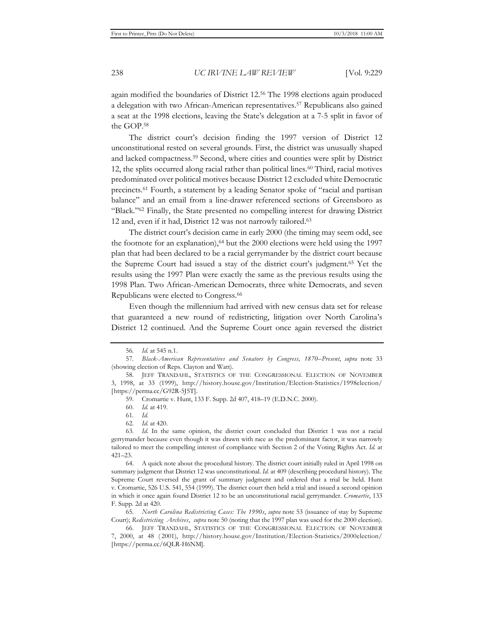again modified the boundaries of District 12.56 The 1998 elections again produced a delegation with two African-American representatives.57 Republicans also gained a seat at the 1998 elections, leaving the State's delegation at a 7-5 split in favor of the GOP.58

The district court's decision finding the 1997 version of District 12 unconstitutional rested on several grounds. First, the district was unusually shaped and lacked compactness.59 Second, where cities and counties were split by District 12, the splits occurred along racial rather than political lines.<sup>60</sup> Third, racial motives predominated over political motives because District 12 excluded white Democratic precincts.61 Fourth, a statement by a leading Senator spoke of "racial and partisan balance" and an email from a line-drawer referenced sections of Greensboro as "Black."62 Finally, the State presented no compelling interest for drawing District 12 and, even if it had, District 12 was not narrowly tailored.63

The district court's decision came in early 2000 (the timing may seem odd, see the footnote for an explanation),  $64$  but the 2000 elections were held using the 1997 plan that had been declared to be a racial gerrymander by the district court because the Supreme Court had issued a stay of the district court's judgment.65 Yet the results using the 1997 Plan were exactly the same as the previous results using the 1998 Plan. Two African-American Democrats, three white Democrats, and seven Republicans were elected to Congress.66

Even though the millennium had arrived with new census data set for release that guaranteed a new round of redistricting, litigation over North Carolina's District 12 continued. And the Supreme Court once again reversed the district

64. A quick note about the procedural history. The district court initially ruled in April 1998 on summary judgment that District 12 was unconstitutional. *Id.* at 409 (describing procedural history). The Supreme Court reversed the grant of summary judgment and ordered that a trial be held. Hunt v. Cromartie, 526 U.S. 541, 554 (1999). The district court then held a trial and issued a second opinion in which it once again found District 12 to be an unconstitutional racial gerrymander. *Cromartie*, 133 F. Supp. 2d at 420.

65*. North Carolina Redistricting Cases: The 1990s*, *supra* note 53 (issuance of stay by Supreme Court); *Redistricting Archives*, *supra* note 50 (noting that the 1997 plan was used for the 2000 election).

66. JEFF TRANDAHL, STATISTICS OF THE CONGRESSIONAL ELECTION OF NOVEMBER 7, 2000, at 48 ( 2001), http://history.house.gov/Institution/Election-Statistics/2000election/ [https://perma.cc/6QLR-H6NM].

<sup>56</sup>*. Id.* at 545 n.1.

<sup>57</sup>*. Black-American Representatives and Senators by Congress, 1870–Present*, *supra* note 33 (showing election of Reps. Clayton and Watt).

<sup>58.</sup> JEFF TRANDAHL, STATISTICS OF THE CONGRESSIONAL ELECTION OF NOVEMBER 3, 1998, at 33 (1999), http://history.house.gov/Institution/Election-Statistics/1998election/ [https://perma.cc/G92R-5J5T].

<sup>59.</sup> Cromartie v. Hunt, 133 F. Supp. 2d 407, 418–19 (E.D.N.C. 2000).

<sup>60</sup>*. Id.* at 419.

<sup>61</sup>*. Id.*

<sup>62</sup>*. Id.* at 420.

<sup>63</sup>*. Id.* In the same opinion, the district court concluded that District 1 was not a racial gerrymander because even though it was drawn with race as the predominant factor, it was narrowly tailored to meet the compelling interest of compliance with Section 2 of the Voting Rights Act. *Id.* at 421–23.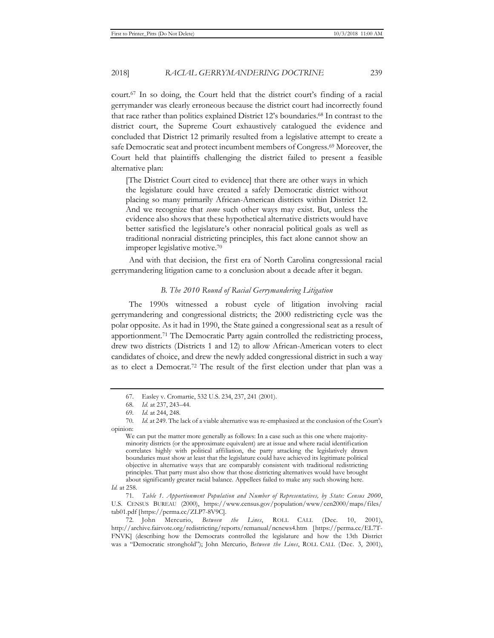court.67 In so doing, the Court held that the district court's finding of a racial gerrymander was clearly erroneous because the district court had incorrectly found that race rather than politics explained District 12's boundaries.68 In contrast to the district court, the Supreme Court exhaustively catalogued the evidence and concluded that District 12 primarily resulted from a legislative attempt to create a safe Democratic seat and protect incumbent members of Congress.<sup>69</sup> Moreover, the Court held that plaintiffs challenging the district failed to present a feasible alternative plan:

[The District Court cited to evidence] that there are other ways in which the legislature could have created a safely Democratic district without placing so many primarily African-American districts within District 12. And we recognize that *some* such other ways may exist. But, unless the evidence also shows that these hypothetical alternative districts would have better satisfied the legislature's other nonracial political goals as well as traditional nonracial districting principles, this fact alone cannot show an improper legislative motive.70

And with that decision, the first era of North Carolina congressional racial gerrymandering litigation came to a conclusion about a decade after it began.

#### *B. The 2010 Round of Racial Gerrymandering Litigation*

The 1990s witnessed a robust cycle of litigation involving racial gerrymandering and congressional districts; the 2000 redistricting cycle was the polar opposite. As it had in 1990, the State gained a congressional seat as a result of apportionment.71 The Democratic Party again controlled the redistricting process, drew two districts (Districts 1 and 12) to allow African-American voters to elect candidates of choice, and drew the newly added congressional district in such a way as to elect a Democrat.72 The result of the first election under that plan was a

<sup>67.</sup> Easley v. Cromartie, 532 U.S. 234, 237, 241 (2001).

<sup>68</sup>*. Id.* at 237, 243–44.

<sup>69</sup>*. Id.* at 244, 248.

<sup>70</sup>*. Id.* at 249. The lack of a viable alternative was re-emphasized at the conclusion of the Court's opinion:

We can put the matter more generally as follows: In a case such as this one where majorityminority districts (or the approximate equivalent) are at issue and where racial identification correlates highly with political affiliation, the party attacking the legislatively drawn boundaries must show at least that the legislature could have achieved its legitimate political objective in alternative ways that are comparably consistent with traditional redistricting principles. That party must also show that those districting alternatives would have brought about significantly greater racial balance. Appellees failed to make any such showing here.

*Id.* at 258.

<sup>71</sup>*. Table 1. Apportionment Population and Number of Representatives, by State: Census 2000*, U.S. CENSUS BUREAU (2000), https://www.census.gov/population/www/cen2000/maps/files/ tab01.pdf [https://perma.cc/ZLP7-8V9C].

<sup>72.</sup> John Mercurio, *Between the Lines*, ROLL CALL (Dec. 10, 2001), http://archive.fairvote.org/redistricting/reports/remanual/ncnews4.htm [https://perma.cc/EL7T-FNVK] (describing how the Democrats controlled the legislature and how the 13th District was a "Democratic stronghold"); John Mercurio, *Between the Lines*, ROLL CALL (Dec. 3, 2001),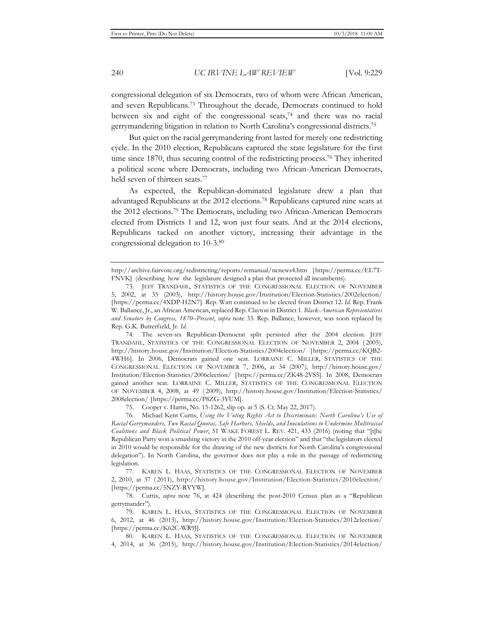congressional delegation of six Democrats, two of whom were African American, and seven Republicans.73 Throughout the decade, Democrats continued to hold between six and eight of the congressional seats, $74$  and there was no racial gerrymandering litigation in relation to North Carolina's congressional districts.75

But quiet on the racial gerrymandering front lasted for merely one redistricting cycle. In the 2010 election, Republicans captured the state legislature for the first time since 1870, thus securing control of the redistricting process.76 They inherited a political scene where Democrats, including two African-American Democrats, held seven of thirteen seats.77

As expected, the Republican-dominated legislature drew a plan that advantaged Republicans at the 2012 elections.78 Republicans captured nine seats at the 2012 elections.79 The Democrats, including two African-American Democrats elected from Districts 1 and 12, won just four seats. And at the 2014 elections, Republicans tacked on another victory, increasing their advantage in the congressional delegation to 10-3.80

http://archive.fairvote.org/redistricting/reports/remanual/ncnews4.htm [https://perma.cc/EL7T-FNVK] (describing how the legislature designed a plan that protected all incumbents).

<sup>73.</sup> JEFF TRANDAHL, STATISTICS OF THE CONGRESSIONAL ELECTION OF NOVEMBER 5, 2002, at 35 (2003), http://history.house.gov/Institution/Election-Statistics/2002election/ [https://perma.cc/4XDP-H2N7]. Rep. Watt continued to be elected from District 12. *Id.* Rep. Frank W. Ballance, Jr., an African American, replaced Rep. Clayton in District 1. *Black-American Representatives and Senators by Congress, 1870–Present*, *supra* note 33. Rep. Ballance, however, was soon replaced by Rep. G.K. Butterfield, Jr. *Id.* 

<sup>74.</sup> The seven-six Republican-Democrat split persisted after the 2004 election. JEFF TRANDAHL, STATISTICS OF THE CONGRESSIONAL ELECTION OF NOVEMBER 2, 2004 ( 2005), http://history.house.gov/Institution/Election-Statistics/2004election/ [https://perma.cc/KQB2- 4WH6]. In 2006, Democrats gained one seat. LORRAINE C. MILLER, STATISTICS OF THE CONGRESSIONAL ELECTION OF NOVEMBER 7, 2006, at 34 (2007), http://history.house.gov/ Institution/Election-Statistics/2006election/ [https://perma.cc/ZK48-2VS5]. In 2008, Democrats gained another seat. LORRAINE C. MILLER, STATISTICS OF THE CONGRESSIONAL ELECTION OF NOVEMBER 4, 2008, at 49 ( 2009), http://history.house.gov/Institution/Election-Statistics/ 2008election/ [https://perma.cc/P8ZG-3YUM].

<sup>75.</sup> Cooper v. Harris, No. 15-1262, slip op. at 5 (S. Ct. May 22, 2017).

<sup>76.</sup> Michael Kent Curtis, *Using the Voting Rights Act to Discriminate: North Carolina's Use of Racial Gerrymanders, Two Racial Quotas, Safe Harbors, Shields, and Inoculations to Undermine Multiracial Coalitions and Black Political Power*, 51 WAKE FOREST L. REV. 421, 433 (2016) (noting that "[t]he Republican Party won a smashing victory in the 2010 off-year election" and that "the legislators elected in 2010 would be responsible for the drawing of the new districts for North Carolina's congressional delegation"). In North Carolina, the governor does not play a role in the passage of redistricting legislation.

<sup>77.</sup> KAREN L. HAAS, STATISTICS OF THE CONGRESSIONAL ELECTION OF NOVEMBER 2, 2010, at 37 ( 2011), http://history.house.gov/Institution/Election-Statistics/2010election/ [https://perma.cc/5NZY-RVYW].

<sup>78.</sup> Curtis, *supra* note 76, at 424 (describing the post-2010 Census plan as a "Republican gerrymander").

<sup>79.</sup> KAREN L. HAAS, STATISTICS OF THE CONGRESSIONAL ELECTION OF NOVEMBER 6, 2012, at 46 (2013), http://history.house.gov/Institution/Election-Statistics/2012election/ [https://perma.cc/K62C-WR9J].

<sup>80.</sup> KAREN L. HAAS, STATISTICS OF THE CONGRESSIONAL ELECTION OF NOVEMBER 4, 2014, at 36 (2015), http://history.house.gov/Institution/Election-Statistics/2014election/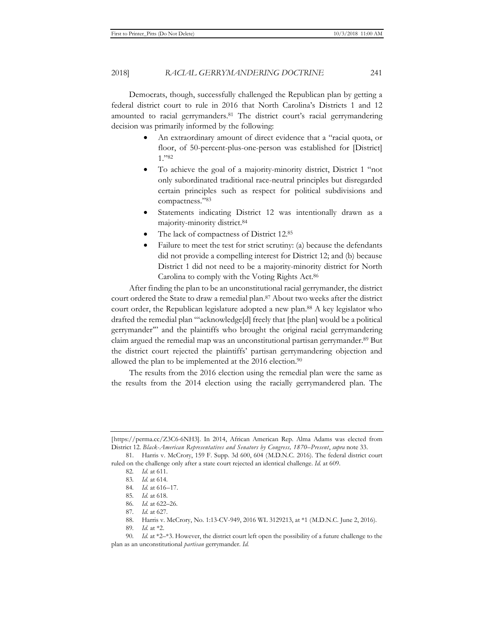2018] *RACIAL GERRYMANDERING DOCTRINE* 241

Democrats, though, successfully challenged the Republican plan by getting a federal district court to rule in 2016 that North Carolina's Districts 1 and 12 amounted to racial gerrymanders.81 The district court's racial gerrymandering decision was primarily informed by the following:

- An extraordinary amount of direct evidence that a "racial quota, or floor, of 50-percent-plus-one-person was established for [District] 1."82
- To achieve the goal of a majority-minority district, District 1 "not only subordinated traditional race-neutral principles but disregarded certain principles such as respect for political subdivisions and compactness."83
- Statements indicating District 12 was intentionally drawn as a majority-minority district.84
- The lack of compactness of District 12.85
- Failure to meet the test for strict scrutiny: (a) because the defendants did not provide a compelling interest for District 12; and (b) because District 1 did not need to be a majority-minority district for North Carolina to comply with the Voting Rights Act.86

After finding the plan to be an unconstitutional racial gerrymander, the district court ordered the State to draw a remedial plan.87 About two weeks after the district court order, the Republican legislature adopted a new plan.<sup>88</sup> A key legislator who drafted the remedial plan "'acknowledge[d] freely that [the plan] would be a political gerrymander'" and the plaintiffs who brought the original racial gerrymandering claim argued the remedial map was an unconstitutional partisan gerrymander.89 But the district court rejected the plaintiffs' partisan gerrymandering objection and allowed the plan to be implemented at the 2016 election.<sup>90</sup>

The results from the 2016 election using the remedial plan were the same as the results from the 2014 election using the racially gerrymandered plan. The

<sup>[</sup>https://perma.cc/Z3C6-6NH3]. In 2014, African American Rep. Alma Adams was elected from District 12. *Black-American Representatives and Senators by Congress, 1870–Present*, *supra* note 33.

<sup>81.</sup> Harris v. McCrory, 159 F. Supp. 3d 600, 604 (M.D.N.C. 2016). The federal district court ruled on the challenge only after a state court rejected an identical challenge. *Id.* at 609.

<sup>82</sup>*. Id.* at 611.

<sup>83</sup>*. Id.* at 614.

<sup>84</sup>*. Id.* at 616–17.

<sup>85</sup>*. Id.* at 618.

<sup>86</sup>*. Id.* at 622–26.

<sup>87</sup>*. Id.* at 627.

<sup>88.</sup> Harris v. McCrory, No. 1:13-CV-949, 2016 WL 3129213, at \*1 (M.D.N.C. June 2, 2016).

<sup>89</sup>*. Id.* at \*2.

<sup>90</sup>*. Id.* at \*2–\*3. However, the district court left open the possibility of a future challenge to the plan as an unconstitutional *partisan* gerrymander. *Id.*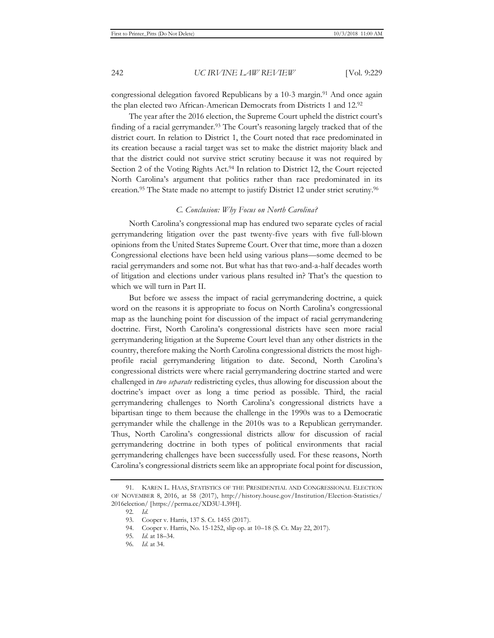congressional delegation favored Republicans by a 10-3 margin.91 And once again the plan elected two African-American Democrats from Districts 1 and 12.92

The year after the 2016 election, the Supreme Court upheld the district court's finding of a racial gerrymander.93 The Court's reasoning largely tracked that of the district court. In relation to District 1, the Court noted that race predominated in its creation because a racial target was set to make the district majority black and that the district could not survive strict scrutiny because it was not required by Section 2 of the Voting Rights Act.<sup>94</sup> In relation to District 12, the Court rejected North Carolina's argument that politics rather than race predominated in its creation.95 The State made no attempt to justify District 12 under strict scrutiny.96

#### *C. Conclusion: Why Focus on North Carolina?*

North Carolina's congressional map has endured two separate cycles of racial gerrymandering litigation over the past twenty-five years with five full-blown opinions from the United States Supreme Court. Over that time, more than a dozen Congressional elections have been held using various plans—some deemed to be racial gerrymanders and some not. But what has that two-and-a-half decades worth of litigation and elections under various plans resulted in? That's the question to which we will turn in Part II.

But before we assess the impact of racial gerrymandering doctrine, a quick word on the reasons it is appropriate to focus on North Carolina's congressional map as the launching point for discussion of the impact of racial gerrymandering doctrine. First, North Carolina's congressional districts have seen more racial gerrymandering litigation at the Supreme Court level than any other districts in the country, therefore making the North Carolina congressional districts the most highprofile racial gerrymandering litigation to date. Second, North Carolina's congressional districts were where racial gerrymandering doctrine started and were challenged in *two separate* redistricting cycles, thus allowing for discussion about the doctrine's impact over as long a time period as possible. Third, the racial gerrymandering challenges to North Carolina's congressional districts have a bipartisan tinge to them because the challenge in the 1990s was to a Democratic gerrymander while the challenge in the 2010s was to a Republican gerrymander. Thus, North Carolina's congressional districts allow for discussion of racial gerrymandering doctrine in both types of political environments that racial gerrymandering challenges have been successfully used. For these reasons, North Carolina's congressional districts seem like an appropriate focal point for discussion,

<sup>91.</sup> KAREN L. HAAS, STATISTICS OF THE PRESIDENTIAL AND CONGRESSIONAL ELECTION OF NOVEMBER 8, 2016, at 58 (2017), http://history.house.gov/Institution/Election-Statistics/ 2016election/ [https://perma.cc/XD3U-L39H].

<sup>92</sup>*. Id.*

<sup>93.</sup> Cooper v. Harris, 137 S. Ct. 1455 (2017).

<sup>94.</sup> Cooper v. Harris, No. 15-1252, slip op. at 10–18 (S. Ct. May 22, 2017).

<sup>95</sup>*. Id.* at 18–34.

<sup>96</sup>*. Id.* at 34.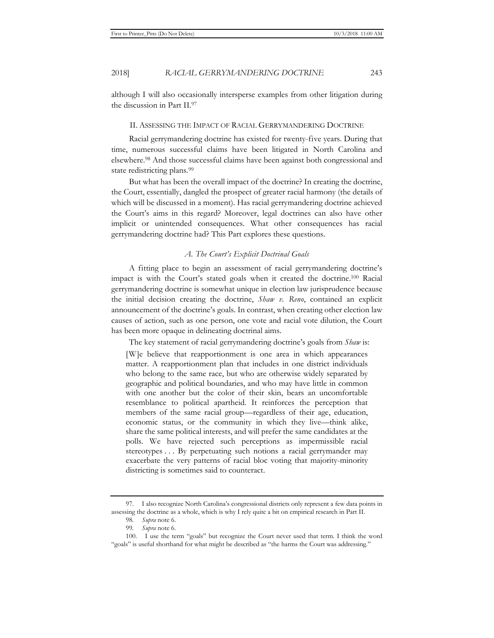although I will also occasionally intersperse examples from other litigation during the discussion in Part II.97

#### II. ASSESSING THE IMPACT OF RACIAL GERRYMANDERING DOCTRINE

Racial gerrymandering doctrine has existed for twenty-five years. During that time, numerous successful claims have been litigated in North Carolina and elsewhere.98 And those successful claims have been against both congressional and state redistricting plans.<sup>99</sup>

But what has been the overall impact of the doctrine? In creating the doctrine, the Court, essentially, dangled the prospect of greater racial harmony (the details of which will be discussed in a moment). Has racial gerrymandering doctrine achieved the Court's aims in this regard? Moreover, legal doctrines can also have other implicit or unintended consequences. What other consequences has racial gerrymandering doctrine had? This Part explores these questions.

#### *A. The Court's Explicit Doctrinal Goals*

A fitting place to begin an assessment of racial gerrymandering doctrine's impact is with the Court's stated goals when it created the doctrine.100 Racial gerrymandering doctrine is somewhat unique in election law jurisprudence because the initial decision creating the doctrine, *Shaw v. Reno*, contained an explicit announcement of the doctrine's goals. In contrast, when creating other election law causes of action, such as one person, one vote and racial vote dilution, the Court has been more opaque in delineating doctrinal aims.

The key statement of racial gerrymandering doctrine's goals from *Shaw* is:

[W]e believe that reapportionment is one area in which appearances matter. A reapportionment plan that includes in one district individuals who belong to the same race, but who are otherwise widely separated by geographic and political boundaries, and who may have little in common with one another but the color of their skin, bears an uncomfortable resemblance to political apartheid. It reinforces the perception that members of the same racial group—regardless of their age, education, economic status, or the community in which they live—think alike, share the same political interests, and will prefer the same candidates at the polls. We have rejected such perceptions as impermissible racial stereotypes . . . By perpetuating such notions a racial gerrymander may exacerbate the very patterns of racial bloc voting that majority-minority districting is sometimes said to counteract.

<sup>97.</sup> I also recognize North Carolina's congressional districts only represent a few data points in assessing the doctrine as a whole, which is why I rely quite a bit on empirical research in Part II.

<sup>98</sup>*. Supra* note 6.

<sup>99</sup>*. Supra* note 6.

<sup>100.</sup> I use the term "goals" but recognize the Court never used that term. I think the word "goals" is useful shorthand for what might be described as "the harms the Court was addressing."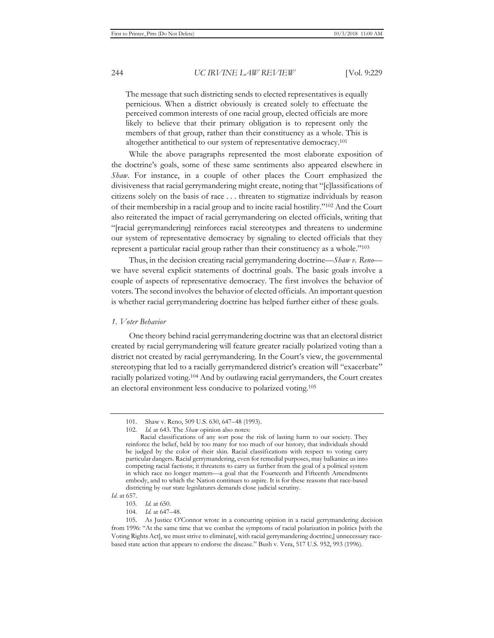The message that such districting sends to elected representatives is equally pernicious. When a district obviously is created solely to effectuate the perceived common interests of one racial group, elected officials are more likely to believe that their primary obligation is to represent only the members of that group, rather than their constituency as a whole. This is altogether antithetical to our system of representative democracy.101

While the above paragraphs represented the most elaborate exposition of the doctrine's goals, some of these same sentiments also appeared elsewhere in *Shaw*. For instance, in a couple of other places the Court emphasized the divisiveness that racial gerrymandering might create, noting that "[c]lassifications of citizens solely on the basis of race . . . threaten to stigmatize individuals by reason of their membership in a racial group and to incite racial hostility."102 And the Court also reiterated the impact of racial gerrymandering on elected officials, writing that "[racial gerrymandering] reinforces racial stereotypes and threatens to undermine our system of representative democracy by signaling to elected officials that they represent a particular racial group rather than their constituency as a whole."103

Thus, in the decision creating racial gerrymandering doctrine—*Shaw v. Reno* we have several explicit statements of doctrinal goals. The basic goals involve a couple of aspects of representative democracy. The first involves the behavior of voters. The second involves the behavior of elected officials. An important question is whether racial gerrymandering doctrine has helped further either of these goals.

#### *1. Voter Behavior*

One theory behind racial gerrymandering doctrine was that an electoral district created by racial gerrymandering will feature greater racially polarized voting than a district not created by racial gerrymandering. In the Court's view, the governmental stereotyping that led to a racially gerrymandered district's creation will "exacerbate" racially polarized voting.104 And by outlawing racial gerrymanders, the Court creates an electoral environment less conducive to polarized voting.105

<sup>101.</sup> Shaw v. Reno, 509 U.S. 630, 647–48 (1993).

<sup>102</sup>*. Id.* at 643. The *Shaw* opinion also notes:

Racial classifications of any sort pose the risk of lasting harm to our society. They reinforce the belief, held by too many for too much of our history, that individuals should be judged by the color of their skin. Racial classifications with respect to voting carry particular dangers. Racial gerrymandering, even for remedial purposes, may balkanize us into competing racial factions; it threatens to carry us further from the goal of a political system in which race no longer matters—a goal that the Fourteenth and Fifteenth Amendments embody, and to which the Nation continues to aspire. It is for these reasons that race-based districting by our state legislatures demands close judicial scrutiny.

*Id.* at 657.

<sup>103</sup>*. Id.* at 650.

<sup>104</sup>*. Id.* at 647–48.

<sup>105.</sup> As Justice O'Connor wrote in a concurring opinion in a racial gerrymandering decision from 1996: "At the same time that we combat the symptoms of racial polarization in politics [with the Voting Rights Act], we must strive to eliminate[, with racial gerrymandering doctrine,] unnecessary racebased state action that appears to endorse the disease." Bush v. Vera, 517 U.S. 952, 993 (1996).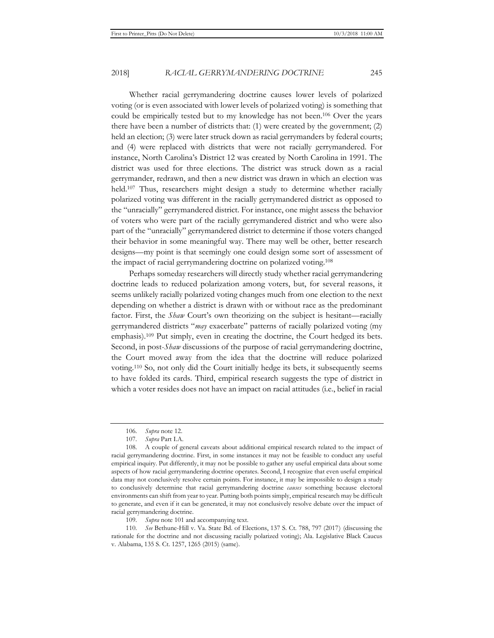Whether racial gerrymandering doctrine causes lower levels of polarized voting (or is even associated with lower levels of polarized voting) is something that could be empirically tested but to my knowledge has not been.106 Over the years there have been a number of districts that: (1) were created by the government; (2) held an election; (3) were later struck down as racial gerrymanders by federal courts; and (4) were replaced with districts that were not racially gerrymandered. For instance, North Carolina's District 12 was created by North Carolina in 1991. The district was used for three elections. The district was struck down as a racial gerrymander, redrawn, and then a new district was drawn in which an election was held.<sup>107</sup> Thus, researchers might design a study to determine whether racially polarized voting was different in the racially gerrymandered district as opposed to the "unracially" gerrymandered district. For instance, one might assess the behavior of voters who were part of the racially gerrymandered district and who were also part of the "unracially" gerrymandered district to determine if those voters changed their behavior in some meaningful way. There may well be other, better research designs—my point is that seemingly one could design some sort of assessment of the impact of racial gerrymandering doctrine on polarized voting.108

Perhaps someday researchers will directly study whether racial gerrymandering doctrine leads to reduced polarization among voters, but, for several reasons, it seems unlikely racially polarized voting changes much from one election to the next depending on whether a district is drawn with or without race as the predominant factor. First, the *Shaw* Court's own theorizing on the subject is hesitant—racially gerrymandered districts "*may* exacerbate" patterns of racially polarized voting (my emphasis).109 Put simply, even in creating the doctrine, the Court hedged its bets. Second, in post-*Shaw* discussions of the purpose of racial gerrymandering doctrine, the Court moved away from the idea that the doctrine will reduce polarized voting.110 So, not only did the Court initially hedge its bets, it subsequently seems to have folded its cards. Third, empirical research suggests the type of district in which a voter resides does not have an impact on racial attitudes (i.e., belief in racial

109*. Supra* note 101 and accompanying text.

<sup>106</sup>*. Supra* note 12.

<sup>107</sup>*. Supra* Part I.A.

<sup>108.</sup> A couple of general caveats about additional empirical research related to the impact of racial gerrymandering doctrine. First, in some instances it may not be feasible to conduct any useful empirical inquiry. Put differently, it may not be possible to gather any useful empirical data about some aspects of how racial gerrymandering doctrine operates. Second, I recognize that even useful empirical data may not conclusively resolve certain points. For instance, it may be impossible to design a study to conclusively determine that racial gerrymandering doctrine *causes* something because electoral environments can shift from year to year. Putting both points simply, empirical research may be difficult to generate, and even if it can be generated, it may not conclusively resolve debate over the impact of racial gerrymandering doctrine.

<sup>110</sup>*. See* Bethune-Hill v. Va. State Bd. of Elections, 137 S. Ct. 788, 797 (2017) (discussing the rationale for the doctrine and not discussing racially polarized voting); Ala. Legislative Black Caucus v. Alabama, 135 S. Ct. 1257, 1265 (2015) (same).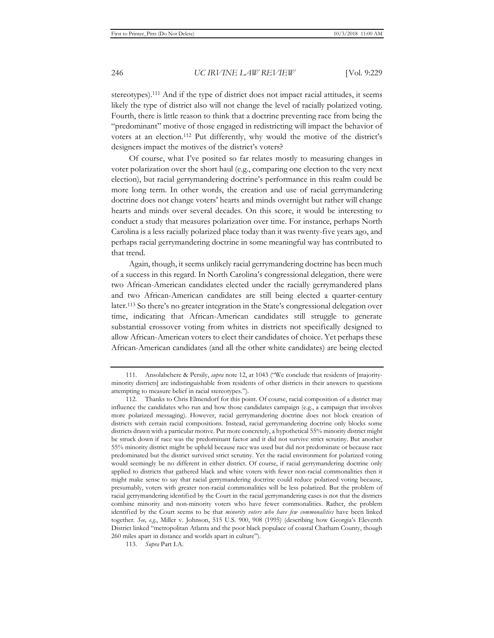stereotypes).111 And if the type of district does not impact racial attitudes, it seems likely the type of district also will not change the level of racially polarized voting. Fourth, there is little reason to think that a doctrine preventing race from being the "predominant" motive of those engaged in redistricting will impact the behavior of voters at an election.112 Put differently, why would the motive of the district's designers impact the motives of the district's voters?

Of course, what I've posited so far relates mostly to measuring changes in voter polarization over the short haul (e.g., comparing one election to the very next election), but racial gerrymandering doctrine's performance in this realm could be more long term. In other words, the creation and use of racial gerrymandering doctrine does not change voters' hearts and minds overnight but rather will change hearts and minds over several decades. On this score, it would be interesting to conduct a study that measures polarization over time. For instance, perhaps North Carolina is a less racially polarized place today than it was twenty-five years ago, and perhaps racial gerrymandering doctrine in some meaningful way has contributed to that trend.

Again, though, it seems unlikely racial gerrymandering doctrine has been much of a success in this regard. In North Carolina's congressional delegation, there were two African-American candidates elected under the racially gerrymandered plans and two African-American candidates are still being elected a quarter-century later.113 So there's no greater integration in the State's congressional delegation over time, indicating that African-American candidates still struggle to generate substantial crossover voting from whites in districts not specifically designed to allow African-American voters to elect their candidates of choice. Yet perhaps these African-American candidates (and all the other white candidates) are being elected

113*. Supra* Part I.A.

<sup>111.</sup> Ansolabehere & Persily, *supra* note 12, at 1043 ("We conclude that residents of [majorityminority districts] are indistinguishable from residents of other districts in their answers to questions attempting to measure belief in racial stereotypes.").

<sup>112.</sup> Thanks to Chris Elmendorf for this point. Of course, racial composition of a district may influence the candidates who run and how those candidates campaign (e.g., a campaign that involves more polarized messaging). However, racial gerrymandering doctrine does not block creation of districts with certain racial compositions. Instead, racial gerrymandering doctrine only blocks some districts drawn with a particular motive. Put more concretely, a hypothetical 55% minority district might be struck down if race was the predominant factor and it did not survive strict scrutiny. But another 55% minority district might be upheld because race was used but did not predominate or because race predominated but the district survived strict scrutiny. Yet the racial environment for polarized voting would seemingly be no different in either district. Of course, if racial gerrymandering doctrine only applied to districts that gathered black and white voters with fewer non-racial commonalities then it might make sense to say that racial gerrymandering doctrine could reduce polarized voting because, presumably, voters with greater non-racial commonalities will be less polarized. But the problem of racial gerrymandering identified by the Court in the racial gerrymandering cases is not that the districts combine minority and non-minority voters who have fewer commonalities. Rather, the problem identified by the Court seems to be that *minority voters who have few commonalities* have been linked together. *See, e.g.*, Miller v. Johnson, 515 U.S. 900, 908 (1995) (describing how Georgia's Eleventh District linked "metropolitan Atlanta and the poor black populace of coastal Chatham County, though 260 miles apart in distance and worlds apart in culture").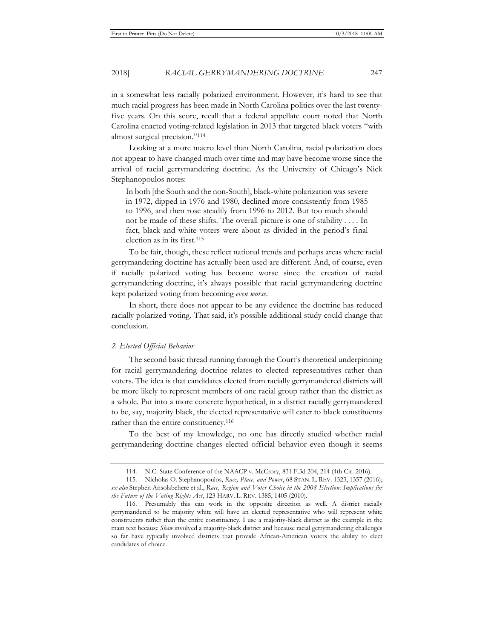in a somewhat less racially polarized environment. However, it's hard to see that much racial progress has been made in North Carolina politics over the last twentyfive years. On this score, recall that a federal appellate court noted that North Carolina enacted voting-related legislation in 2013 that targeted black voters "with almost surgical precision."114

Looking at a more macro level than North Carolina, racial polarization does not appear to have changed much over time and may have become worse since the arrival of racial gerrymandering doctrine. As the University of Chicago's Nick Stephanopoulos notes:

In both [the South and the non-South], black-white polarization was severe in 1972, dipped in 1976 and 1980, declined more consistently from 1985 to 1996, and then rose steadily from 1996 to 2012. But too much should not be made of these shifts. The overall picture is one of stability . . . . In fact, black and white voters were about as divided in the period's final election as in its first.115

To be fair, though, these reflect national trends and perhaps areas where racial gerrymandering doctrine has actually been used are different. And, of course, even if racially polarized voting has become worse since the creation of racial gerrymandering doctrine, it's always possible that racial gerrymandering doctrine kept polarized voting from becoming *even worse*.

In short, there does not appear to be any evidence the doctrine has reduced racially polarized voting. That said, it's possible additional study could change that conclusion.

#### *2. Elected Official Behavior*

The second basic thread running through the Court's theoretical underpinning for racial gerrymandering doctrine relates to elected representatives rather than voters. The idea is that candidates elected from racially gerrymandered districts will be more likely to represent members of one racial group rather than the district as a whole. Put into a more concrete hypothetical, in a district racially gerrymandered to be, say, majority black, the elected representative will cater to black constituents rather than the entire constituency.<sup>116</sup>

To the best of my knowledge, no one has directly studied whether racial gerrymandering doctrine changes elected official behavior even though it seems

<sup>114.</sup> N.C. State Conference of the NAACP v. McCrory, 831 F.3d 204, 214 (4th Cir. 2016).

<sup>115.</sup> Nicholas O. Stephanopoulos, *Race, Place, and Power*, 68 STAN. L. REV. 1323, 1357 (2016); *see also* Stephen Ansolabehere et al., *Race, Region and Voter Choice in the 2008 Election: Implications for the Future of the Voting Rights Act*, 123 HARV. L. REV. 1385, 1405 (2010).

<sup>116.</sup> Presumably this can work in the opposite direction as well. A district racially gerrymandered to be majority white will have an elected representative who will represent white constituents rather than the entire constituency. I use a majority-black district as the example in the main text because *Shaw* involved a majority-black district and because racial gerrymandering challenges so far have typically involved districts that provide African-American voters the ability to elect candidates of choice.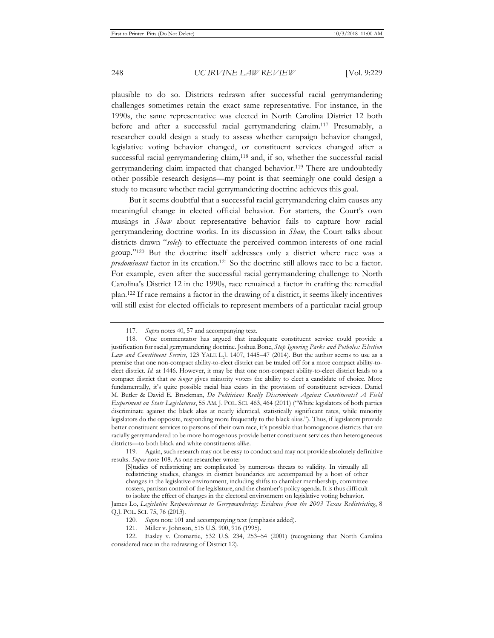plausible to do so. Districts redrawn after successful racial gerrymandering challenges sometimes retain the exact same representative. For instance, in the 1990s, the same representative was elected in North Carolina District 12 both before and after a successful racial gerrymandering claim.117 Presumably, a researcher could design a study to assess whether campaign behavior changed, legislative voting behavior changed, or constituent services changed after a successful racial gerrymandering claim,<sup>118</sup> and, if so, whether the successful racial gerrymandering claim impacted that changed behavior.119 There are undoubtedly other possible research designs—my point is that seemingly one could design a study to measure whether racial gerrymandering doctrine achieves this goal.

But it seems doubtful that a successful racial gerrymandering claim causes any meaningful change in elected official behavior. For starters, the Court's own musings in *Shaw* about representative behavior fails to capture how racial gerrymandering doctrine works. In its discussion in *Shaw*, the Court talks about districts drawn "*solely* to effectuate the perceived common interests of one racial group."120 But the doctrine itself addresses only a district where race was a *predominant* factor in its creation.<sup>121</sup> So the doctrine still allows race to be a factor. For example, even after the successful racial gerrymandering challenge to North Carolina's District 12 in the 1990s, race remained a factor in crafting the remedial plan.122 If race remains a factor in the drawing of a district, it seems likely incentives will still exist for elected officials to represent members of a particular racial group

<sup>117</sup>*. Supra* notes 40, 57 and accompanying text.

<sup>118.</sup> One commentator has argued that inadequate constituent service could provide a justification for racial gerrymandering doctrine. Joshua Bone, *Stop Ignoring Parks and Potholes: Election Law and Constituent Service*, 123 YALE L.J. 1407, 1445–47 (2014). But the author seems to use as a premise that one non-compact ability-to-elect district can be traded off for a more compact ability-toelect district. *Id.* at 1446. However, it may be that one non-compact ability-to-elect district leads to a compact district that *no longer* gives minority voters the ability to elect a candidate of choice. More fundamentally, it's quite possible racial bias exists in the provision of constituent services. Daniel M. Butler & David E. Brockman, *Do Politicians Really Discriminate Against Constituents? A Field Experiment on State Legislatures*, 55 AM. J. POL. SCI. 463, 464 (2011) ("White legislators of both parties discriminate against the black alias at nearly identical, statistically significant rates, while minority legislators do the opposite, responding more frequently to the black alias."). Thus, if legislators provide better constituent services to persons of their own race, it's possible that homogenous districts that are racially gerrymandered to be more homogenous provide better constituent services than heterogeneous districts—to both black and white constituents alike.

<sup>119.</sup> Again, such research may not be easy to conduct and may not provide absolutely definitive results. *Supra* note 108. As one researcher wrote:

<sup>[</sup>S]tudies of redistricting are complicated by numerous threats to validity. In virtually all redistricting studies, changes in district boundaries are accompanied by a host of other changes in the legislative environment, including shifts to chamber membership, committee rosters, partisan control of the legislature, and the chamber's policy agenda. It is thus difficult to isolate the effect of changes in the electoral environment on legislative voting behavior.

James Lo, *Legislative Responsiveness to Gerrymandering: Evidence from the 2003 Texas Redistricting*, 8 Q.J. POL. SCI. 75, 76 (2013).

<sup>120</sup>*. Supra* note 101 and accompanying text (emphasis added).

<sup>121.</sup> Miller v. Johnson, 515 U.S. 900, 916 (1995).

<sup>122.</sup> Easley v. Cromartie, 532 U.S. 234, 253–54 (2001) (recognizing that North Carolina considered race in the redrawing of District 12).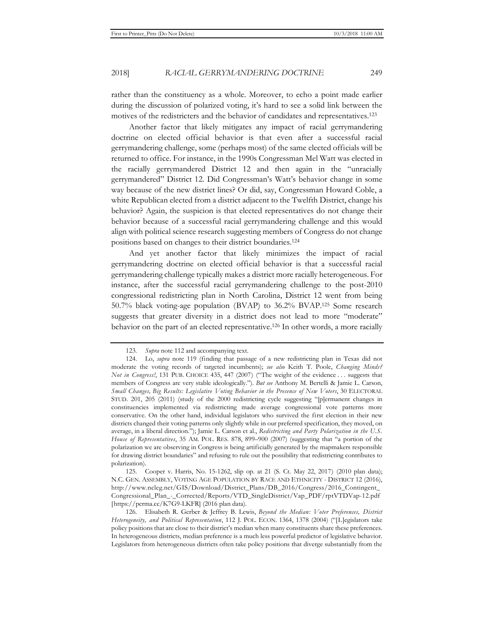rather than the constituency as a whole. Moreover, to echo a point made earlier during the discussion of polarized voting, it's hard to see a solid link between the motives of the redistricters and the behavior of candidates and representatives.123

Another factor that likely mitigates any impact of racial gerrymandering doctrine on elected official behavior is that even after a successful racial gerrymandering challenge, some (perhaps most) of the same elected officials will be returned to office. For instance, in the 1990s Congressman Mel Watt was elected in the racially gerrymandered District 12 and then again in the "unracially gerrymandered" District 12. Did Congressman's Watt's behavior change in some way because of the new district lines? Or did, say, Congressman Howard Coble, a white Republican elected from a district adjacent to the Twelfth District, change his behavior? Again, the suspicion is that elected representatives do not change their behavior because of a successful racial gerrymandering challenge and this would align with political science research suggesting members of Congress do not change positions based on changes to their district boundaries.124

And yet another factor that likely minimizes the impact of racial gerrymandering doctrine on elected official behavior is that a successful racial gerrymandering challenge typically makes a district more racially heterogeneous. For instance, after the successful racial gerrymandering challenge to the post-2010 congressional redistricting plan in North Carolina, District 12 went from being 50.7% black voting-age population (BVAP) to 36.2% BVAP.125 Some research suggests that greater diversity in a district does not lead to more "moderate" behavior on the part of an elected representative.126 In other words, a more racially

<sup>123</sup>*. Supra* note 112 and accompanying text.

<sup>124.</sup> Lo, *supra* note 119 (finding that passage of a new redistricting plan in Texas did not moderate the voting records of targeted incumbents); *see also* Keith T. Poole, *Changing Minds? Not in Congress!*, 131 PUB. CHOICE 435, 447 (2007) ("The weight of the evidence . . . suggests that members of Congress are very stable ideologically."). *But see* Anthony M. Bertelli & Jamie L. Carson, *Small Changes, Big Results: Legislative Voting Behavior in the Presence of New Voters*, 30 ELECTORAL STUD. 201, 205 (2011) (study of the 2000 redistricting cycle suggesting "[p]ermanent changes in constituencies implemented via redistricting made average congressional vote patterns more conservative. On the other hand, individual legislators who survived the first election in their new districts changed their voting patterns only slightly while in our preferred specification, they moved, on average, in a liberal direction."); Jamie L. Carson et al., *Redistricting and Party Polarization in the U.S. House of Representatives*, 35 AM. POL. RES. 878, 899–900 (2007) (suggesting that "a portion of the polarization we are observing in Congress is being artificially generated by the mapmakers responsible for drawing district boundaries" and refusing to rule out the possibility that redistricting contributes to polarization).

<sup>125.</sup> Cooper v. Harris, No. 15-1262, slip op. at 21 (S. Ct. May 22, 2017) (2010 plan data); N.C. GEN. ASSEMBLY, VOTING AGE POPULATION BY RACE AND ETHNICITY - DISTRICT 12 (2016), http://www.ncleg.net/GIS/Download/District\_Plans/DB\_2016/Congress/2016\_Contingent\_ Congressional\_Plan\_-\_Corrected/Reports/VTD\_SingleDistrict/Vap\_PDF/rptVTDVap-12.pdf [https://perma.cc/K7G9-LKFR] (2016 plan data).

<sup>126.</sup> Elisabeth R. Gerber & Jeffrey B. Lewis, *Beyond the Median: Voter Preferences, District Heterogeneity, and Political Representation*, 112 J. POL. ECON. 1364, 1378 (2004) ("[L]egislators take policy positions that are close to their district's median when many constituents share these preferences. In heterogeneous districts, median preference is a much less powerful predictor of legislative behavior. Legislators from heterogeneous districts often take policy positions that diverge substantially from the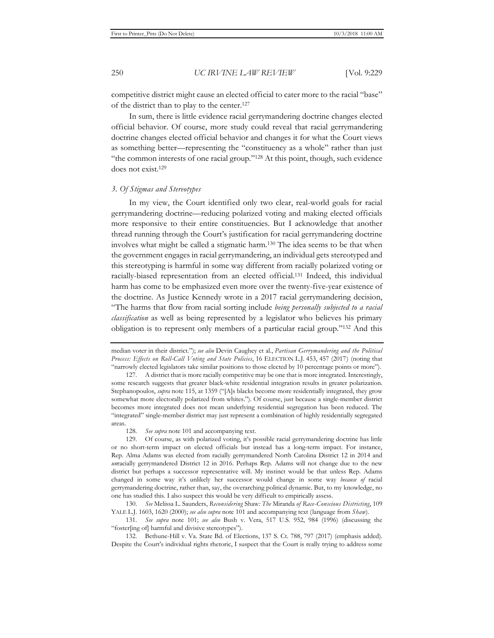competitive district might cause an elected official to cater more to the racial "base" of the district than to play to the center.127

In sum, there is little evidence racial gerrymandering doctrine changes elected official behavior. Of course, more study could reveal that racial gerrymandering doctrine changes elected official behavior and changes it for what the Court views as something better—representing the "constituency as a whole" rather than just "the common interests of one racial group."128 At this point, though, such evidence does not exist.129

#### *3. Of Stigmas and Stereotypes*

In my view, the Court identified only two clear, real-world goals for racial gerrymandering doctrine—reducing polarized voting and making elected officials more responsive to their entire constituencies. But I acknowledge that another thread running through the Court's justification for racial gerrymandering doctrine involves what might be called a stigmatic harm.130 The idea seems to be that when the government engages in racial gerrymandering, an individual gets stereotyped and this stereotyping is harmful in some way different from racially polarized voting or racially-biased representation from an elected official.131 Indeed, this individual harm has come to be emphasized even more over the twenty-five-year existence of the doctrine. As Justice Kennedy wrote in a 2017 racial gerrymandering decision, "The harms that flow from racial sorting include *being personally subjected to a racial classification* as well as being represented by a legislator who believes his primary obligation is to represent only members of a particular racial group."132 And this

128*. See supra* note 101 and accompanying text.

129. Of course, as with polarized voting, it's possible racial gerrymandering doctrine has little or no short-term impact on elected officials but instead has a long-term impact. For instance, Rep. Alma Adams was elected from racially gerrymandered North Carolina District 12 in 2014 and *un*racially gerrymandered District 12 in 2016. Perhaps Rep. Adams will not change due to the new district but perhaps a successor representative will. My instinct would be that unless Rep. Adams changed in some way it's unlikely her successor would change in some way *because of* racial gerrymandering doctrine, rather than, say, the overarching political dynamic. But, to my knowledge, no one has studied this. I also suspect this would be very difficult to empirically assess.

130. *See* Melissa L. Saunders, *Reconsidering* Shaw*: The* Miranda *of Race-Conscious Districting*, 109 YALE L.J. 1603, 1620 (2000); *see also supra* note 101 and accompanying text (language from *Shaw*).

131*. See supra* note 101; *see also* Bush v. Vera, 517 U.S. 952, 984 (1996) (discussing the "foster[ing of] harmful and divisive stereotypes").

132. Bethune-Hill v. Va. State Bd. of Elections, 137 S. Ct. 788, 797 (2017) (emphasis added). Despite the Court's individual rights rhetoric, I suspect that the Court is really trying to address some

median voter in their district."); *see also* Devin Caughey et al., *Partisan Gerrymandering and the Political Process: Effects on Roll-Call Voting and State Policies*, 16 ELECTION L.J. 453, 457 (2017) (noting that "narrowly elected legislators take similar positions to those elected by 10 percentage points or more").

<sup>127.</sup> A district that is more racially competitive may be one that is more integrated. Interestingly, some research suggests that greater black-white residential integration results in greater polarization. Stephanopoulos, *supra* note 115, at 1359 ("[A]s blacks become more residentially integrated, they grow somewhat more electorally polarized from whites."). Of course, just because a single-member district becomes more integrated does not mean underlying residential segregation has been reduced. The "integrated" single-member district may just represent a combination of highly residentially segregated areas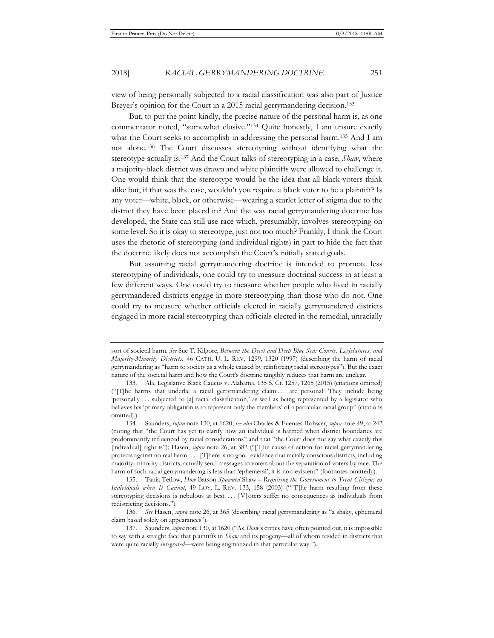view of being personally subjected to a racial classification was also part of Justice Breyer's opinion for the Court in a 2015 racial gerrymandering decision.<sup>133</sup>

But, to put the point kindly, the precise nature of the personal harm is, as one commentator noted, "somewhat elusive."134 Quite honestly, I am unsure exactly what the Court seeks to accomplish in addressing the personal harm.<sup>135</sup> And I am not alone.136 The Court discusses stereotyping without identifying what the stereotype actually is.137 And the Court talks of stereotyping in a case, *Shaw*, where a majority-black district was drawn and white plaintiffs were allowed to challenge it. One would think that the stereotype would be the idea that all black voters think alike but, if that was the case, wouldn't you require a black voter to be a plaintiff? Is any voter—white, black, or otherwise—wearing a scarlet letter of stigma due to the district they have been placed in? And the way racial gerrymandering doctrine has developed, the State can still use race which, presumably, involves stereotyping on some level. So it is okay to stereotype, just not too much? Frankly, I think the Court uses the rhetoric of stereotyping (and individual rights) in part to hide the fact that the doctrine likely does not accomplish the Court's initially stated goals.

But assuming racial gerrymandering doctrine is intended to promote less stereotyping of individuals, one could try to measure doctrinal success in at least a few different ways. One could try to measure whether people who lived in racially gerrymandered districts engage in more stereotyping than those who do not. One could try to measure whether officials elected in racially gerrymandered districts engaged in more racial stereotyping than officials elected in the remedial, unracially

sort of societal harm. *See* Sue T. Kilgore, *Between the Devil and Deep Blue Sea: Courts, Legislatures, and Majority-Minority Districts*, 46 CATH. U. L. REV. 1299, 1320 (1997) (describing the harm of racial gerrymandering as "harm to society as a whole caused by reinforcing racial stereotypes"). But the exact nature of the societal harm and how the Court's doctrine tangibly reduces that harm are unclear.

<sup>133.</sup> Ala. Legislative Black Caucus v. Alabama, 135 S. Ct. 1257, 1265 (2015) (citations omitted) ("[T]he harms that underlie a racial gerrymandering claim . . . are personal. They include being 'personally . . . subjected to [a] racial classification,' as well as being represented by a legislator who believes his 'primary obligation is to represent only the members' of a particular racial group" (citations omitted).).

<sup>134.</sup> Saunders, *supra* note 130, at 1620; *see also* Charles & Fuentes-Rohwer, *supra* note 49, at 242 (noting that "the Court has yet to clarify how an individual is harmed when district boundaries are predominantly influenced by racial considerations" and that "the Court does not say what exactly this [individual] right is"); Hasen, *supra* note 26, at 382 ("[T]he cause of action for racial gerrymandering protects against no real harm. . . . [T]here is no good evidence that racially conscious districts, including majority-minority districts, actually send messages to voters about the separation of voters by race. The harm of such racial gerrymandering is less than 'ephemeral'; it is non-existent" (footnotes omitted).).

<sup>135.</sup> Tania Tetlow, *How* Batson *Spawned* Shaw *– Requiring the Government to Treat Citizens as Individuals when It Cannot*, 49 LOY. L. REV. 133, 158 (2003) ("[T]he harm resulting from these stereotyping decisions is nebulous at best. . . . [V] oters suffer no consequences as individuals from redistricting decisions.").

<sup>136</sup>*. See* Hasen, *supra* note 26, at 365 (describing racial gerrymandering as "a shaky, ephemeral claim based solely on appearances").

<sup>137.</sup> Saunders, *supra* note 130, at 1620 ("As *Shaw*'s critics have often pointed out, it is impossible to say with a straight face that plaintiffs in *Shaw* and its progeny—all of whom resided in districts that were quite racially *integrated*—were being stigmatized in that particular way.").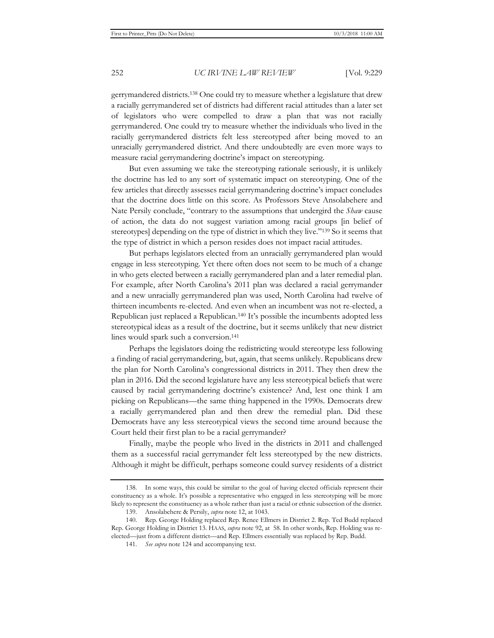gerrymandered districts.138 One could try to measure whether a legislature that drew a racially gerrymandered set of districts had different racial attitudes than a later set of legislators who were compelled to draw a plan that was not racially gerrymandered. One could try to measure whether the individuals who lived in the racially gerrymandered districts felt less stereotyped after being moved to an unracially gerrymandered district. And there undoubtedly are even more ways to measure racial gerrymandering doctrine's impact on stereotyping.

But even assuming we take the stereotyping rationale seriously, it is unlikely the doctrine has led to any sort of systematic impact on stereotyping. One of the few articles that directly assesses racial gerrymandering doctrine's impact concludes that the doctrine does little on this score. As Professors Steve Ansolabehere and Nate Persily conclude, "contrary to the assumptions that undergird the *Shaw* cause of action, the data do not suggest variation among racial groups [in belief of stereotypes] depending on the type of district in which they live."139 So it seems that the type of district in which a person resides does not impact racial attitudes.

But perhaps legislators elected from an unracially gerrymandered plan would engage in less stereotyping. Yet there often does not seem to be much of a change in who gets elected between a racially gerrymandered plan and a later remedial plan. For example, after North Carolina's 2011 plan was declared a racial gerrymander and a new unracially gerrymandered plan was used, North Carolina had twelve of thirteen incumbents re-elected. And even when an incumbent was not re-elected, a Republican just replaced a Republican.140 It's possible the incumbents adopted less stereotypical ideas as a result of the doctrine, but it seems unlikely that new district lines would spark such a conversion.<sup>141</sup>

Perhaps the legislators doing the redistricting would stereotype less following a finding of racial gerrymandering, but, again, that seems unlikely. Republicans drew the plan for North Carolina's congressional districts in 2011. They then drew the plan in 2016. Did the second legislature have any less stereotypical beliefs that were caused by racial gerrymandering doctrine's existence? And, lest one think I am picking on Republicans—the same thing happened in the 1990s. Democrats drew a racially gerrymandered plan and then drew the remedial plan. Did these Democrats have any less stereotypical views the second time around because the Court held their first plan to be a racial gerrymander?

Finally, maybe the people who lived in the districts in 2011 and challenged them as a successful racial gerrymander felt less stereotyped by the new districts. Although it might be difficult, perhaps someone could survey residents of a district

<sup>138.</sup> In some ways, this could be similar to the goal of having elected officials represent their constituency as a whole. It's possible a representative who engaged in less stereotyping will be more likely to represent the constituency as a whole rather than just a racial or ethnic subsection of the district.

<sup>139.</sup> Ansolabehere & Persily, *supra* note 12, at 1043.

<sup>140.</sup> Rep. George Holding replaced Rep. Renee Ellmers in District 2. Rep. Ted Budd replaced Rep. George Holding in District 13. HAAS, *supra* note 92, at 58. In other words, Rep. Holding was reelected—just from a different district—and Rep. Ellmers essentially was replaced by Rep. Budd.

<sup>141</sup>*. See supra* note 124 and accompanying text.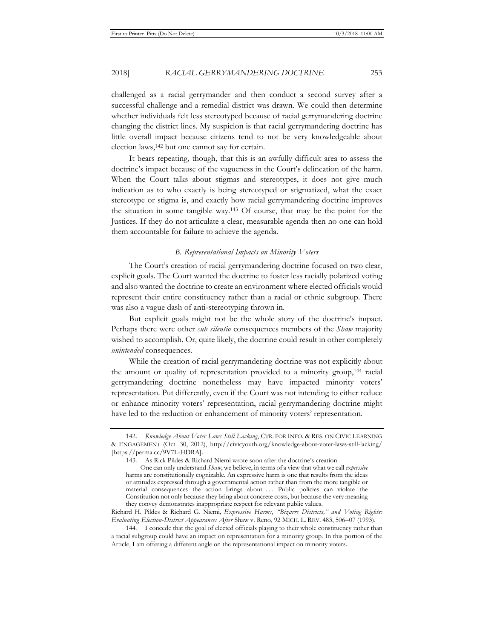challenged as a racial gerrymander and then conduct a second survey after a successful challenge and a remedial district was drawn. We could then determine whether individuals felt less stereotyped because of racial gerrymandering doctrine changing the district lines. My suspicion is that racial gerrymandering doctrine has little overall impact because citizens tend to not be very knowledgeable about election laws,<sup>142</sup> but one cannot say for certain.

It bears repeating, though, that this is an awfully difficult area to assess the doctrine's impact because of the vagueness in the Court's delineation of the harm. When the Court talks about stigmas and stereotypes, it does not give much indication as to who exactly is being stereotyped or stigmatized, what the exact stereotype or stigma is, and exactly how racial gerrymandering doctrine improves the situation in some tangible way.143 Of course, that may be the point for the Justices. If they do not articulate a clear, measurable agenda then no one can hold them accountable for failure to achieve the agenda.

#### *B. Representational Impacts on Minority Voters*

The Court's creation of racial gerrymandering doctrine focused on two clear, explicit goals. The Court wanted the doctrine to foster less racially polarized voting and also wanted the doctrine to create an environment where elected officials would represent their entire constituency rather than a racial or ethnic subgroup. There was also a vague dash of anti-stereotyping thrown in.

But explicit goals might not be the whole story of the doctrine's impact. Perhaps there were other *sub silentio* consequences members of the *Shaw* majority wished to accomplish. Or, quite likely, the doctrine could result in other completely *unintended* consequences.

While the creation of racial gerrymandering doctrine was not explicitly about the amount or quality of representation provided to a minority group,144 racial gerrymandering doctrine nonetheless may have impacted minority voters' representation. Put differently, even if the Court was not intending to either reduce or enhance minority voters' representation, racial gerrymandering doctrine might have led to the reduction or enhancement of minority voters' representation.

<sup>142.</sup> *Knowledge About Voter Laws Still Lacking*, CTR. FOR INFO. & RES. ON CIVIC LEARNING & ENGAGEMENT (Oct. 30, 2012), http://civicyouth.org/knowledge-about-voter-laws-still-lacking/ [https://perma.cc/9V7L-HDRA].

<sup>143.</sup> As Rick Pildes & Richard Niemi wrote soon after the doctrine's creation:

One can only understand *Shaw*, we believe, in terms of a view that what we call *expressive* harms are constitutionally cognizable. An expressive harm is one that results from the ideas or attitudes expressed through a governmental action rather than from the more tangible or material consequences the action brings about.... Public policies can violate the Constitution not only because they bring about concrete costs, but because the very meaning they convey demonstrates inappropriate respect for relevant public values.

Richard H. Pildes & Richard G. Niemi, *Expressive Harms, "Bizarre Districts," and Voting Rights: Evaluating Election-District Appearances After* Shaw v. Reno, 92 MICH. L. REV. 483, 506–07 (1993).

<sup>144.</sup> I concede that the goal of elected officials playing to their whole constituency rather than a racial subgroup could have an impact on representation for a minority group. In this portion of the Article, I am offering a different angle on the representational impact on minority voters.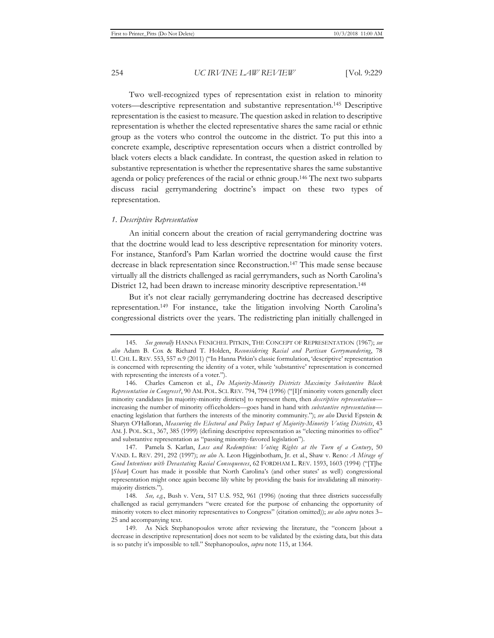Two well-recognized types of representation exist in relation to minority voters—descriptive representation and substantive representation.145 Descriptive representation is the easiest to measure. The question asked in relation to descriptive representation is whether the elected representative shares the same racial or ethnic group as the voters who control the outcome in the district. To put this into a concrete example, descriptive representation occurs when a district controlled by black voters elects a black candidate. In contrast, the question asked in relation to substantive representation is whether the representative shares the same substantive agenda or policy preferences of the racial or ethnic group.146 The next two subparts discuss racial gerrymandering doctrine's impact on these two types of representation.

#### *1. Descriptive Representation*

An initial concern about the creation of racial gerrymandering doctrine was that the doctrine would lead to less descriptive representation for minority voters. For instance, Stanford's Pam Karlan worried the doctrine would cause the first decrease in black representation since Reconstruction.147 This made sense because virtually all the districts challenged as racial gerrymanders, such as North Carolina's District 12, had been drawn to increase minority descriptive representation.<sup>148</sup>

But it's not clear racially gerrymandering doctrine has decreased descriptive representation.149 For instance, take the litigation involving North Carolina's congressional districts over the years. The redistricting plan initially challenged in

<sup>145</sup>*. See generally* HANNA FENICHEL PITKIN, THE CONCEPT OF REPRESENTATION (1967); *see also* Adam B. Cox & Richard T. Holden, *Reconsidering Racial and Partisan Gerrymandering*, 78 U. CHI. L. REV. 553, 557 n.9 (2011) ("In Hanna Pitkin's classic formulation, 'descriptive' representation is concerned with representing the identity of a voter, while 'substantive' representation is concerned with representing the interests of a voter.").

<sup>146.</sup> Charles Cameron et al., *Do Majority-Minority Districts Maximize Substantive Black Representation in Congress?*, 90 AM. POL. SCI. REV. 794, 794 (1996) ("[I]f minority voters generally elect minority candidates [in majority-minority districts] to represent them, then *descriptive representation* increasing the number of minority officeholders—goes hand in hand with *substantive representation* enacting legislation that furthers the interests of the minority community."); *see also* David Epstein & Sharyn O'Halloran, *Measuring the Electoral and Policy Impact of Majority-Minority Voting Districts*, 43 AM. J. POL. SCI., 367, 385 (1999) (defining descriptive representation as "electing minorities to office" and substantive representation as "passing minority-favored legislation").

<sup>147.</sup> Pamela S. Karlan, *Loss and Redemption: Voting Rights at the Turn of a Century*, 50 VAND. L. REV. 291, 292 (1997); *see also* A. Leon Higginbotham, Jr. et al., Shaw v. Reno*: A Mirage of Good Intentions with Devastating Racial Consequences*, 62 FORDHAM L. REV. 1593, 1603 (1994) ("[T]he [*Shaw*] Court has made it possible that North Carolina's (and other states' as well) congressional representation might once again become lily white by providing the basis for invalidating all minoritymajority districts.").

<sup>148</sup>*. See, e.g.*, Bush v. Vera, 517 U.S. 952, 961 (1996) (noting that three districts successfully challenged as racial gerrymanders "were created for the purpose of enhancing the opportunity of minority voters to elect minority representatives to Congress" (citation omitted)); *see also supra* notes 3– 25 and accompanying text.

<sup>149.</sup> As Nick Stephanopoulos wrote after reviewing the literature, the "concern [about a decrease in descriptive representation] does not seem to be validated by the existing data, but this data is so patchy it's impossible to tell." Stephanopoulos, *supra* note 115, at 1364.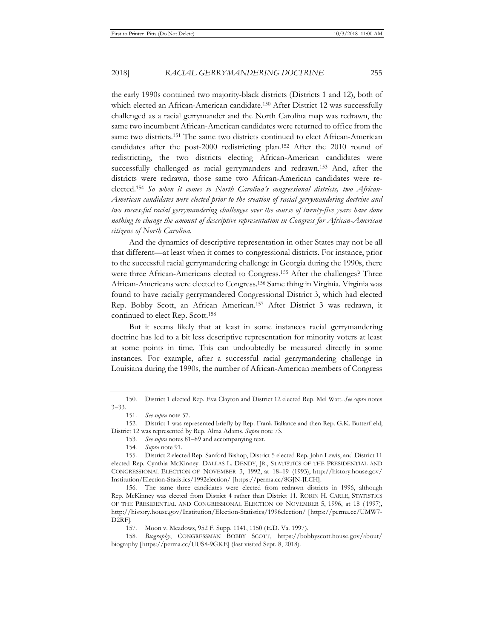the early 1990s contained two majority-black districts (Districts 1 and 12), both of which elected an African-American candidate.<sup>150</sup> After District 12 was successfully challenged as a racial gerrymander and the North Carolina map was redrawn, the same two incumbent African-American candidates were returned to office from the same two districts.<sup>151</sup> The same two districts continued to elect African-American candidates after the post-2000 redistricting plan.152 After the 2010 round of redistricting, the two districts electing African-American candidates were successfully challenged as racial gerrymanders and redrawn.153 And, after the districts were redrawn, those same two African-American candidates were reelected.154 *So when it comes to North Carolina's congressional districts, two African-American candidates were elected prior to the creation of racial gerrymandering doctrine and two successful racial gerrymandering challenges over the course of twenty-five years have done nothing to change the amount of descriptive representation in Congress for African-American citizens of North Carolina.*

And the dynamics of descriptive representation in other States may not be all that different—at least when it comes to congressional districts. For instance, prior to the successful racial gerrymandering challenge in Georgia during the 1990s, there were three African-Americans elected to Congress.155 After the challenges? Three African-Americans were elected to Congress.156 Same thing in Virginia. Virginia was found to have racially gerrymandered Congressional District 3, which had elected Rep. Bobby Scott, an African American.157 After District 3 was redrawn, it continued to elect Rep. Scott.158

But it seems likely that at least in some instances racial gerrymandering doctrine has led to a bit less descriptive representation for minority voters at least at some points in time. This can undoubtedly be measured directly in some instances. For example, after a successful racial gerrymandering challenge in Louisiana during the 1990s, the number of African-American members of Congress

<sup>150.</sup> District 1 elected Rep. Eva Clayton and District 12 elected Rep. Mel Watt. *See supra* notes 3–33.

<sup>151</sup>*. See supra* note 57.

<sup>152.</sup> District 1 was represented briefly by Rep. Frank Ballance and then Rep. G.K. Butterfield; District 12 was represented by Rep. Alma Adams. *Supra* note 73.

<sup>153</sup>*. See supra* notes 81–89 and accompanying text.

<sup>154</sup>*. Supra* note 91.

<sup>155.</sup> District 2 elected Rep. Sanford Bishop, District 5 elected Rep. John Lewis, and District 11 elected Rep. Cynthia McKinney. DALLAS L. DENDY, JR., STATISTICS OF THE PRESIDENTIAL AND CONGRESSIONAL ELECTION OF NOVEMBER 3, 1992, at 18–19 (1993), http://history.house.gov/ Institution/Election-Statistics/1992election/ [https://perma.cc/8GJN-JLCH].

<sup>156.</sup> The same three candidates were elected from redrawn districts in 1996, although Rep. McKinney was elected from District 4 rather than District 11. ROBIN H. CARLE, STATISTICS OF THE PRESIDENTIAL AND CONGRESSIONAL ELECTION OF NOVEMBER 5, 1996, at 18 ( 1997), http://history.house.gov/Institution/Election-Statistics/1996election/ [https://perma.cc/UMW7- D2RF].

<sup>157.</sup> Moon v. Meadows, 952 F. Supp. 1141, 1150 (E.D. Va. 1997).

<sup>158</sup>*. Biography*, CONGRESSMAN BOBBY SCOTT, https://bobbyscott.house.gov/about/ biography [https://perma.cc/UUS8-9GKE] (last visited Sept. 8, 2018).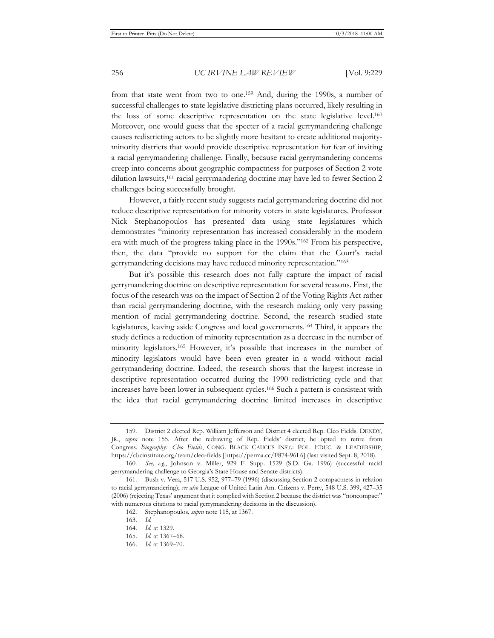from that state went from two to one.159 And, during the 1990s, a number of successful challenges to state legislative districting plans occurred, likely resulting in the loss of some descriptive representation on the state legislative level.160 Moreover, one would guess that the specter of a racial gerrymandering challenge causes redistricting actors to be slightly more hesitant to create additional majorityminority districts that would provide descriptive representation for fear of inviting a racial gerrymandering challenge. Finally, because racial gerrymandering concerns creep into concerns about geographic compactness for purposes of Section 2 vote dilution lawsuits,161 racial gerrymandering doctrine may have led to fewer Section 2 challenges being successfully brought.

However, a fairly recent study suggests racial gerrymandering doctrine did not reduce descriptive representation for minority voters in state legislatures. Professor Nick Stephanopoulos has presented data using state legislatures which demonstrates "minority representation has increased considerably in the modern era with much of the progress taking place in the 1990s."162 From his perspective, then, the data "provide no support for the claim that the Court's racial gerrymandering decisions may have reduced minority representation."163

But it's possible this research does not fully capture the impact of racial gerrymandering doctrine on descriptive representation for several reasons. First, the focus of the research was on the impact of Section 2 of the Voting Rights Act rather than racial gerrymandering doctrine, with the research making only very passing mention of racial gerrymandering doctrine. Second, the research studied state legislatures, leaving aside Congress and local governments.164 Third, it appears the study defines a reduction of minority representation as a decrease in the number of minority legislators.165 However, it's possible that increases in the number of minority legislators would have been even greater in a world without racial gerrymandering doctrine. Indeed, the research shows that the largest increase in descriptive representation occurred during the 1990 redistricting cycle and that increases have been lower in subsequent cycles.166 Such a pattern is consistent with the idea that racial gerrymandering doctrine limited increases in descriptive

<sup>159.</sup> District 2 elected Rep. William Jefferson and District 4 elected Rep. Cleo Fields. DENDY, JR., *supra* note 155. After the redrawing of Rep. Fields' district, he opted to retire from Congress. *Biography: Cleo Fields*, CONG. BLACK CAUCUS INST.: POL. EDUC. & LEADERSHIP, https://cbcinstitute.org/team/cleo-fields [https://perma.cc/F874-96L6] (last visited Sept. 8, 2018).

<sup>160</sup>*. See, e.g.*, Johnson v. Miller, 929 F. Supp. 1529 (S.D. Ga. 1996) (successful racial gerrymandering challenge to Georgia's State House and Senate districts).

<sup>161.</sup> Bush v. Vera, 517 U.S. 952, 977–79 (1996) (discussing Section 2 compactness in relation to racial gerrymandering); *see also* League of United Latin Am. Citizens v. Perry, 548 U.S. 399, 427–35 (2006) (rejecting Texas' argument that it complied with Section 2 because the district was "noncompact" with numerous citations to racial gerrymandering decisions in the discussion).

<sup>162.</sup> Stephanopoulos, *supra* note 115, at 1367.

<sup>163.</sup> *Id.*

<sup>164.</sup> *Id.* at 1329.

<sup>165.</sup> *Id.* at 1367–68.

<sup>166.</sup> *Id.* at 1369–70.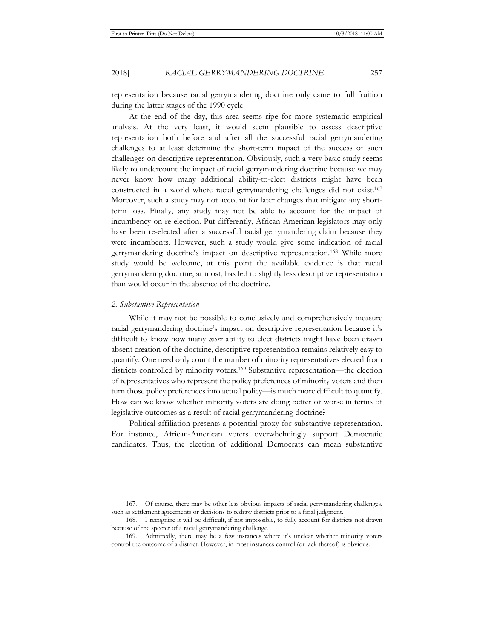representation because racial gerrymandering doctrine only came to full fruition during the latter stages of the 1990 cycle.

At the end of the day, this area seems ripe for more systematic empirical analysis. At the very least, it would seem plausible to assess descriptive representation both before and after all the successful racial gerrymandering challenges to at least determine the short-term impact of the success of such challenges on descriptive representation. Obviously, such a very basic study seems likely to undercount the impact of racial gerrymandering doctrine because we may never know how many additional ability-to-elect districts might have been constructed in a world where racial gerrymandering challenges did not exist.167 Moreover, such a study may not account for later changes that mitigate any shortterm loss. Finally, any study may not be able to account for the impact of incumbency on re-election. Put differently, African-American legislators may only have been re-elected after a successful racial gerrymandering claim because they were incumbents. However, such a study would give some indication of racial gerrymandering doctrine's impact on descriptive representation.168 While more study would be welcome, at this point the available evidence is that racial gerrymandering doctrine, at most, has led to slightly less descriptive representation than would occur in the absence of the doctrine.

#### *2. Substantive Representation*

While it may not be possible to conclusively and comprehensively measure racial gerrymandering doctrine's impact on descriptive representation because it's difficult to know how many *more* ability to elect districts might have been drawn absent creation of the doctrine, descriptive representation remains relatively easy to quantify. One need only count the number of minority representatives elected from districts controlled by minority voters.169 Substantive representation—the election of representatives who represent the policy preferences of minority voters and then turn those policy preferences into actual policy—is much more difficult to quantify. How can we know whether minority voters are doing better or worse in terms of legislative outcomes as a result of racial gerrymandering doctrine?

Political affiliation presents a potential proxy for substantive representation. For instance, African-American voters overwhelmingly support Democratic candidates. Thus, the election of additional Democrats can mean substantive

<sup>167.</sup> Of course, there may be other less obvious impacts of racial gerrymandering challenges, such as settlement agreements or decisions to redraw districts prior to a final judgment.

<sup>168.</sup> I recognize it will be difficult, if not impossible, to fully account for districts not drawn because of the specter of a racial gerrymandering challenge.

<sup>169.</sup> Admittedly, there may be a few instances where it's unclear whether minority voters control the outcome of a district. However, in most instances control (or lack thereof) is obvious.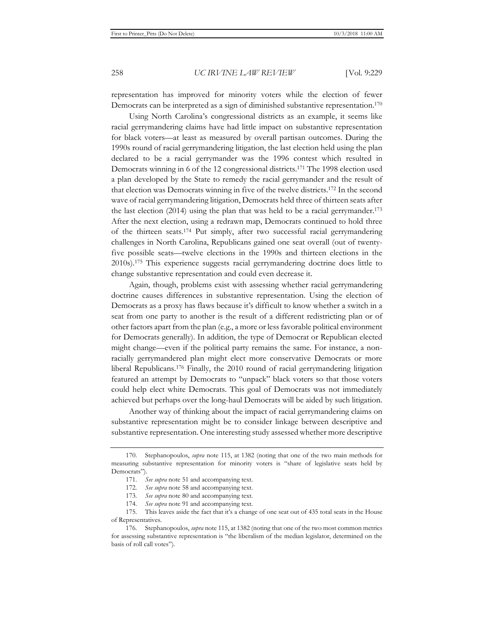representation has improved for minority voters while the election of fewer Democrats can be interpreted as a sign of diminished substantive representation.<sup>170</sup>

Using North Carolina's congressional districts as an example, it seems like racial gerrymandering claims have had little impact on substantive representation for black voters—at least as measured by overall partisan outcomes. During the 1990s round of racial gerrymandering litigation, the last election held using the plan declared to be a racial gerrymander was the 1996 contest which resulted in Democrats winning in 6 of the 12 congressional districts.171 The 1998 election used a plan developed by the State to remedy the racial gerrymander and the result of that election was Democrats winning in five of the twelve districts.172 In the second wave of racial gerrymandering litigation, Democrats held three of thirteen seats after the last election (2014) using the plan that was held to be a racial gerrymander.173 After the next election, using a redrawn map, Democrats continued to hold three of the thirteen seats.174 Put simply, after two successful racial gerrymandering challenges in North Carolina, Republicans gained one seat overall (out of twentyfive possible seats—twelve elections in the 1990s and thirteen elections in the 2010s).175 This experience suggests racial gerrymandering doctrine does little to change substantive representation and could even decrease it.

Again, though, problems exist with assessing whether racial gerrymandering doctrine causes differences in substantive representation. Using the election of Democrats as a proxy has flaws because it's difficult to know whether a switch in a seat from one party to another is the result of a different redistricting plan or of other factors apart from the plan (e.g., a more or less favorable political environment for Democrats generally). In addition, the type of Democrat or Republican elected might change—even if the political party remains the same. For instance, a nonracially gerrymandered plan might elect more conservative Democrats or more liberal Republicans.176 Finally, the 2010 round of racial gerrymandering litigation featured an attempt by Democrats to "unpack" black voters so that those voters could help elect white Democrats. This goal of Democrats was not immediately achieved but perhaps over the long-haul Democrats will be aided by such litigation.

Another way of thinking about the impact of racial gerrymandering claims on substantive representation might be to consider linkage between descriptive and substantive representation. One interesting study assessed whether more descriptive

<sup>170.</sup> Stephanopoulos, *supra* note 115, at 1382 (noting that one of the two main methods for measuring substantive representation for minority voters is "share of legislative seats held by Democrats").

<sup>171</sup>*. See supra* note 51 and accompanying text.

<sup>172</sup>*. See supra* note 58 and accompanying text.

<sup>173</sup>*. See supra* note 80 and accompanying text.

<sup>174</sup>*. See supra* note 91 and accompanying text.

<sup>175.</sup> This leaves aside the fact that it's a change of one seat out of 435 total seats in the House of Representatives.

<sup>176.</sup> Stephanopoulos, *supra* note 115, at 1382 (noting that one of the two most common metrics for assessing substantive representation is "the liberalism of the median legislator, determined on the basis of roll call votes").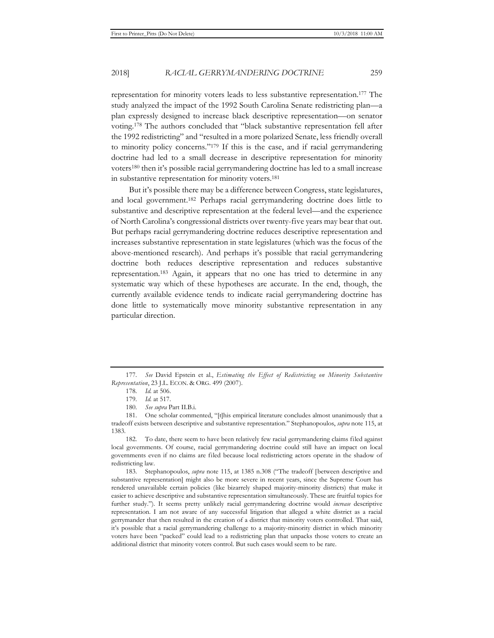2018] *RACIAL GERRYMANDERING DOCTRINE* 259

representation for minority voters leads to less substantive representation.177 The study analyzed the impact of the 1992 South Carolina Senate redistricting plan—a plan expressly designed to increase black descriptive representation—on senator voting.178 The authors concluded that "black substantive representation fell after the 1992 redistricting" and "resulted in a more polarized Senate, less friendly overall to minority policy concerns."179 If this is the case, and if racial gerrymandering doctrine had led to a small decrease in descriptive representation for minority voters180 then it's possible racial gerrymandering doctrine has led to a small increase in substantive representation for minority voters.181

But it's possible there may be a difference between Congress, state legislatures, and local government.182 Perhaps racial gerrymandering doctrine does little to substantive and descriptive representation at the federal level—and the experience of North Carolina's congressional districts over twenty-five years may bear that out. But perhaps racial gerrymandering doctrine reduces descriptive representation and increases substantive representation in state legislatures (which was the focus of the above-mentioned research). And perhaps it's possible that racial gerrymandering doctrine both reduces descriptive representation and reduces substantive representation.183 Again, it appears that no one has tried to determine in any systematic way which of these hypotheses are accurate. In the end, though, the currently available evidence tends to indicate racial gerrymandering doctrine has done little to systematically move minority substantive representation in any particular direction.

183. Stephanopoulos, *supra* note 115, at 1385 n.308 ("The tradeoff [between descriptive and substantive representation] might also be more severe in recent years, since the Supreme Court has rendered unavailable certain policies (like bizarrely shaped majority-minority districts) that make it easier to achieve descriptive and substantive representation simultaneously. These are fruitful topics for further study."). It seems pretty unlikely racial gerrymandering doctrine would *increase* descriptive representation. I am not aware of any successful litigation that alleged a white district as a racial gerrymander that then resulted in the creation of a district that minority voters controlled. That said, it's possible that a racial gerrymandering challenge to a majority-minority district in which minority voters have been "packed" could lead to a redistricting plan that unpacks those voters to create an additional district that minority voters control. But such cases would seem to be rare.

<sup>177</sup>*. See* David Epstein et al., *Estimating the Effect of Redistricting on Minority Substantive Representation*, 23 J.L. ECON. & ORG. 499 (2007).

<sup>178</sup>*. Id.* at 506.

<sup>179</sup>*. Id.* at 517.

<sup>180</sup>*. See supra* Part II.B.i.

<sup>181.</sup> One scholar commented, "[t]his empirical literature concludes almost unanimously that a tradeoff exists between descriptive and substantive representation." Stephanopoulos, *supra* note 115, at 1383.

<sup>182.</sup> To date, there seem to have been relatively few racial gerrymandering claims filed against local governments. Of course, racial gerrymandering doctrine could still have an impact on local governments even if no claims are filed because local redistricting actors operate in the shadow of redistricting law.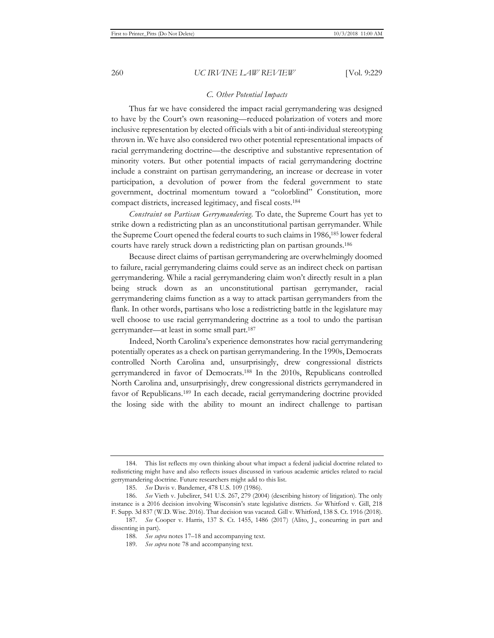#### *C. Other Potential Impacts*

Thus far we have considered the impact racial gerrymandering was designed to have by the Court's own reasoning—reduced polarization of voters and more inclusive representation by elected officials with a bit of anti-individual stereotyping thrown in. We have also considered two other potential representational impacts of racial gerrymandering doctrine—the descriptive and substantive representation of minority voters. But other potential impacts of racial gerrymandering doctrine include a constraint on partisan gerrymandering, an increase or decrease in voter participation, a devolution of power from the federal government to state government, doctrinal momentum toward a "colorblind" Constitution, more compact districts, increased legitimacy, and fiscal costs.184

*Constraint on Partisan Gerrymandering.* To date, the Supreme Court has yet to strike down a redistricting plan as an unconstitutional partisan gerrymander. While the Supreme Court opened the federal courts to such claims in 1986,185 lower federal courts have rarely struck down a redistricting plan on partisan grounds.186

Because direct claims of partisan gerrymandering are overwhelmingly doomed to failure, racial gerrymandering claims could serve as an indirect check on partisan gerrymandering. While a racial gerrymandering claim won't directly result in a plan being struck down as an unconstitutional partisan gerrymander, racial gerrymandering claims function as a way to attack partisan gerrymanders from the flank. In other words, partisans who lose a redistricting battle in the legislature may well choose to use racial gerrymandering doctrine as a tool to undo the partisan gerrymander—at least in some small part.187

Indeed, North Carolina's experience demonstrates how racial gerrymandering potentially operates as a check on partisan gerrymandering. In the 1990s, Democrats controlled North Carolina and, unsurprisingly, drew congressional districts gerrymandered in favor of Democrats.188 In the 2010s, Republicans controlled North Carolina and, unsurprisingly, drew congressional districts gerrymandered in favor of Republicans.189 In each decade, racial gerrymandering doctrine provided the losing side with the ability to mount an indirect challenge to partisan

<sup>184.</sup> This list reflects my own thinking about what impact a federal judicial doctrine related to redistricting might have and also reflects issues discussed in various academic articles related to racial gerrymandering doctrine. Future researchers might add to this list.

<sup>185</sup>*. See* Davis v. Bandemer, 478 U.S. 109 (1986).

<sup>186</sup>*. See* Vieth v. Jubelirer, 541 U.S. 267, 279 (2004) (describing history of litigation). The only instance is a 2016 decision involving Wisconsin's state legislative districts. *See* Whitford v. Gill, 218 F. Supp. 3d 837 (W.D. Wisc. 2016). That decision was vacated. Gill v. Whitford, 138 S. Ct. 1916 (2018).

<sup>187</sup>*. See* Cooper v. Harris, 137 S. Ct. 1455, 1486 (2017) (Alito, J., concurring in part and dissenting in part).

<sup>188</sup>*. See supra* notes 17–18 and accompanying text.

<sup>189</sup>*. See supra* note 78 and accompanying text.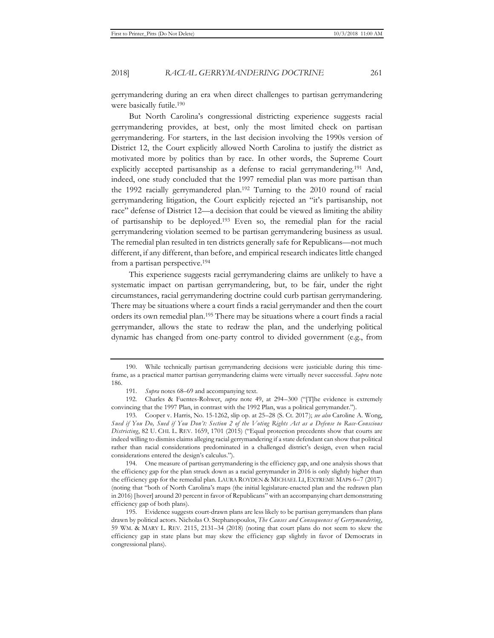gerrymandering during an era when direct challenges to partisan gerrymandering were basically futile.190

But North Carolina's congressional districting experience suggests racial gerrymandering provides, at best, only the most limited check on partisan gerrymandering. For starters, in the last decision involving the 1990s version of District 12, the Court explicitly allowed North Carolina to justify the district as motivated more by politics than by race. In other words, the Supreme Court explicitly accepted partisanship as a defense to racial gerrymandering.<sup>191</sup> And, indeed, one study concluded that the 1997 remedial plan was more partisan than the 1992 racially gerrymandered plan.<sup>192</sup> Turning to the 2010 round of racial gerrymandering litigation, the Court explicitly rejected an "it's partisanship, not race" defense of District 12—a decision that could be viewed as limiting the ability of partisanship to be deployed.193 Even so, the remedial plan for the racial gerrymandering violation seemed to be partisan gerrymandering business as usual. The remedial plan resulted in ten districts generally safe for Republicans—not much different, if any different, than before, and empirical research indicates little changed from a partisan perspective.194

This experience suggests racial gerrymandering claims are unlikely to have a systematic impact on partisan gerrymandering, but, to be fair, under the right circumstances, racial gerrymandering doctrine could curb partisan gerrymandering. There may be situations where a court finds a racial gerrymander and then the court orders its own remedial plan.195 There may be situations where a court finds a racial gerrymander, allows the state to redraw the plan, and the underlying political dynamic has changed from one-party control to divided government (e.g., from

<sup>190.</sup> While technically partisan gerrymandering decisions were justiciable during this timeframe, as a practical matter partisan gerrymandering claims were virtually never successful. *Supra* note 186.

<sup>191</sup>*. Supra* notes 68–69 and accompanying text.

<sup>192.</sup> Charles & Fuentes-Rohwer, *supra* note 49, at 294–300 ("[T]he evidence is extremely convincing that the 1997 Plan, in contrast with the 1992 Plan, was a political gerrymander.").

<sup>193.</sup> Cooper v. Harris, No. 15-1262, slip op. at 25–28 (S. Ct. 2017); *see also* Caroline A. Wong, *Sued if You Do, Sued if You Don't: Section 2 of the Voting Rights Act as a Defense to Race-Conscious Districting*, 82 U. CHI. L. REV. 1659, 1701 (2015) ("Equal protection precedents show that courts are indeed willing to dismiss claims alleging racial gerrymandering if a state defendant can show that political rather than racial considerations predominated in a challenged district's design, even when racial considerations entered the design's calculus.").

<sup>194.</sup> One measure of partisan gerrymandering is the efficiency gap, and one analysis shows that the efficiency gap for the plan struck down as a racial gerrymander in 2016 is only slightly higher than the efficiency gap for the remedial plan. LAURA ROYDEN & MICHAEL LI, EXTREME MAPS 6–7 (2017) (noting that "both of North Carolina's maps (the initial legislature-enacted plan and the redrawn plan in 2016) [hover] around 20 percent in favor of Republicans" with an accompanying chart demonstrating efficiency gap of both plans).

<sup>195.</sup> Evidence suggests court-drawn plans are less likely to be partisan gerrymanders than plans drawn by political actors. Nicholas O. Stephanopoulos, *The Causes and Consequences of Gerrymandering*, 59 WM. & MARY L. REV. 2115, 2131–34 (2018) (noting that court plans do not seem to skew the efficiency gap in state plans but may skew the efficiency gap slightly in favor of Democrats in congressional plans).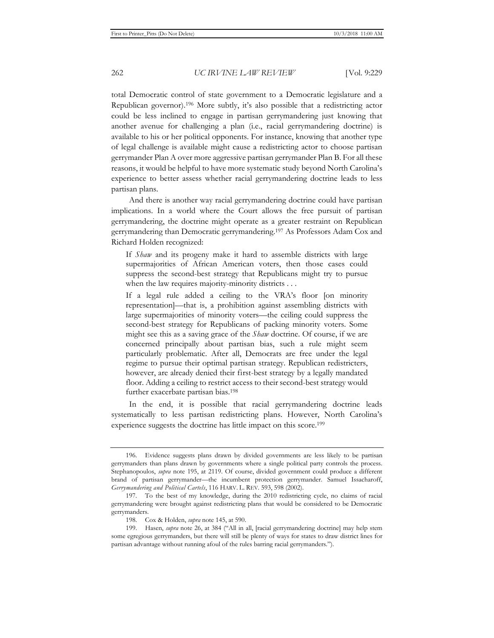total Democratic control of state government to a Democratic legislature and a Republican governor).196 More subtly, it's also possible that a redistricting actor could be less inclined to engage in partisan gerrymandering just knowing that another avenue for challenging a plan (i.e., racial gerrymandering doctrine) is available to his or her political opponents. For instance, knowing that another type of legal challenge is available might cause a redistricting actor to choose partisan gerrymander Plan A over more aggressive partisan gerrymander Plan B. For all these reasons, it would be helpful to have more systematic study beyond North Carolina's experience to better assess whether racial gerrymandering doctrine leads to less partisan plans.

And there is another way racial gerrymandering doctrine could have partisan implications. In a world where the Court allows the free pursuit of partisan gerrymandering, the doctrine might operate as a greater restraint on Republican gerrymandering than Democratic gerrymandering.197 As Professors Adam Cox and Richard Holden recognized:

If *Shaw* and its progeny make it hard to assemble districts with large supermajorities of African American voters, then those cases could suppress the second-best strategy that Republicans might try to pursue when the law requires majority-minority districts . . .

If a legal rule added a ceiling to the VRA's floor [on minority representation]—that is, a prohibition against assembling districts with large supermajorities of minority voters—the ceiling could suppress the second-best strategy for Republicans of packing minority voters. Some might see this as a saving grace of the *Shaw* doctrine. Of course, if we are concerned principally about partisan bias, such a rule might seem particularly problematic. After all, Democrats are free under the legal regime to pursue their optimal partisan strategy. Republican redistricters, however, are already denied their first-best strategy by a legally mandated floor. Adding a ceiling to restrict access to their second-best strategy would further exacerbate partisan bias.198

In the end, it is possible that racial gerrymandering doctrine leads systematically to less partisan redistricting plans. However, North Carolina's experience suggests the doctrine has little impact on this score.<sup>199</sup>

<sup>196.</sup> Evidence suggests plans drawn by divided governments are less likely to be partisan gerrymanders than plans drawn by governments where a single political party controls the process. Stephanopoulos, *supra* note 195, at 2119. Of course, divided government could produce a different brand of partisan gerrymander—the incumbent protection gerrymander. Samuel Issacharoff, *Gerrymandering and Political Cartels*, 116 HARV. L. REV. 593, 598 (2002).

<sup>197.</sup> To the best of my knowledge, during the 2010 redistricting cycle, no claims of racial gerrymandering were brought against redistricting plans that would be considered to be Democratic gerrymanders.

<sup>198.</sup> Cox & Holden, *supra* note 145, at 590.

<sup>199.</sup> Hasen, *supra* note 26, at 384 ("All in all, [racial gerrymandering doctrine] may help stem some egregious gerrymanders, but there will still be plenty of ways for states to draw district lines for partisan advantage without running afoul of the rules barring racial gerrymanders.").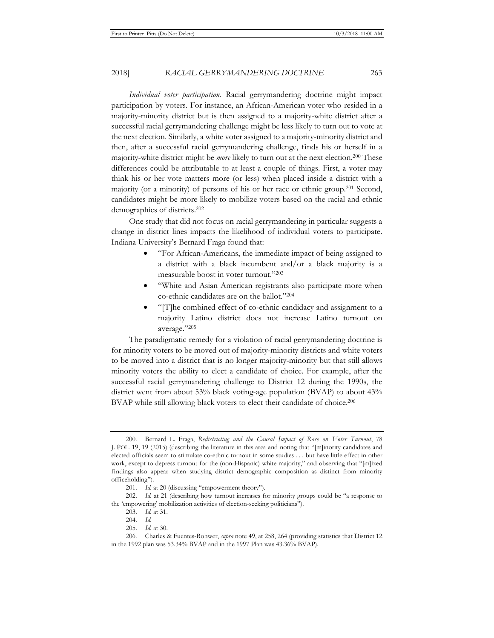2018] *RACIAL GERRYMANDERING DOCTRINE* 263

*Individual voter participation*. Racial gerrymandering doctrine might impact participation by voters. For instance, an African-American voter who resided in a majority-minority district but is then assigned to a majority-white district after a successful racial gerrymandering challenge might be less likely to turn out to vote at the next election. Similarly, a white voter assigned to a majority-minority district and then, after a successful racial gerrymandering challenge, finds his or herself in a majority-white district might be *more* likely to turn out at the next election.200 These differences could be attributable to at least a couple of things. First, a voter may think his or her vote matters more (or less) when placed inside a district with a majority (or a minority) of persons of his or her race or ethnic group.201 Second, candidates might be more likely to mobilize voters based on the racial and ethnic demographics of districts.202

One study that did not focus on racial gerrymandering in particular suggests a change in district lines impacts the likelihood of individual voters to participate. Indiana University's Bernard Fraga found that:

- "For African-Americans, the immediate impact of being assigned to a district with a black incumbent and/or a black majority is a measurable boost in voter turnout."203
- "White and Asian American registrants also participate more when co-ethnic candidates are on the ballot."204
- "[T]he combined effect of co-ethnic candidacy and assignment to a majority Latino district does not increase Latino turnout on average."205

The paradigmatic remedy for a violation of racial gerrymandering doctrine is for minority voters to be moved out of majority-minority districts and white voters to be moved into a district that is no longer majority-minority but that still allows minority voters the ability to elect a candidate of choice. For example, after the successful racial gerrymandering challenge to District 12 during the 1990s, the district went from about 53% black voting-age population (BVAP) to about 43% BVAP while still allowing black voters to elect their candidate of choice.206

<sup>200.</sup> Bernard L. Fraga, *Redistricting and the Causal Impact of Race on Voter Turnout*, 78 J. POL. 19, 19 (2015) (describing the literature in this area and noting that "[m]inority candidates and elected officials seem to stimulate co-ethnic turnout in some studies . . . but have little effect in other work, except to depress turnout for the (non-Hispanic) white majority," and observing that "[m]ixed findings also appear when studying district demographic composition as distinct from minority officeholding").

<sup>201.</sup> *Id.* at 20 (discussing "empowerment theory").

<sup>202.</sup> *Id.* at 21 (describing how turnout increases for minority groups could be "a response to the 'empowering' mobilization activities of election-seeking politicians").

<sup>203.</sup> *Id.* at 31.

<sup>204.</sup> *Id.*

<sup>205.</sup> *Id.* at 30.

<sup>206.</sup> Charles & Fuentes-Rohwer, *supra* note 49, at 258, 264 (providing statistics that District 12 in the 1992 plan was 53.34% BVAP and in the 1997 Plan was 43.36% BVAP).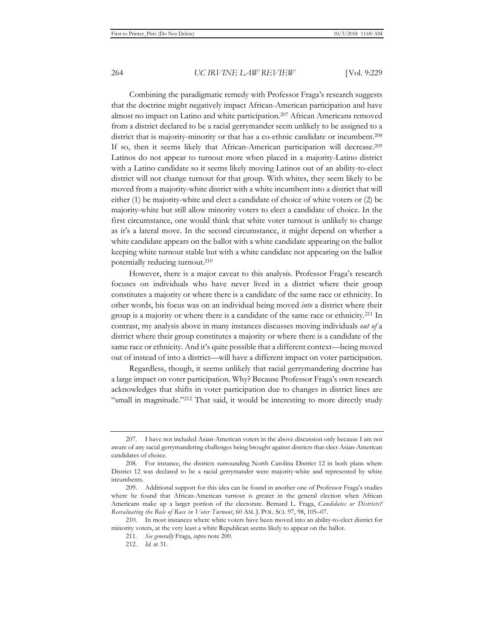Combining the paradigmatic remedy with Professor Fraga's research suggests that the doctrine might negatively impact African-American participation and have almost no impact on Latino and white participation.207 African Americans removed from a district declared to be a racial gerrymander seem unlikely to be assigned to a district that is majority-minority or that has a co-ethnic candidate or incumbent.208 If so, then it seems likely that African-American participation will decrease.209 Latinos do not appear to turnout more when placed in a majority-Latino district with a Latino candidate so it seems likely moving Latinos out of an ability-to-elect district will not change turnout for that group. With whites, they seem likely to be moved from a majority-white district with a white incumbent into a district that will either (1) be majority-white and elect a candidate of choice of white voters or (2) be majority-white but still allow minority voters to elect a candidate of choice. In the first circumstance, one would think that white voter turnout is unlikely to change as it's a lateral move. In the second circumstance, it might depend on whether a white candidate appears on the ballot with a white candidate appearing on the ballot keeping white turnout stable but with a white candidate not appearing on the ballot potentially reducing turnout.210

However, there is a major caveat to this analysis. Professor Fraga's research focuses on individuals who have never lived in a district where their group constitutes a majority or where there is a candidate of the same race or ethnicity. In other words, his focus was on an individual being moved *into* a district where their group is a majority or where there is a candidate of the same race or ethnicity.<sup>211</sup> In contrast, my analysis above in many instances discusses moving individuals *out of* a district where their group constitutes a majority or where there is a candidate of the same race or ethnicity. And it's quite possible that a different context—being moved out of instead of into a district—will have a different impact on voter participation.

Regardless, though, it seems unlikely that racial gerrymandering doctrine has a large impact on voter participation. Why? Because Professor Fraga's own research acknowledges that shifts in voter participation due to changes in district lines are "small in magnitude."212 That said, it would be interesting to more directly study

210. In most instances where white voters have been moved into an ability-to-elect district for minority voters, at the very least a white Republican seems likely to appear on the ballot.

<sup>207.</sup> I have not included Asian-American voters in the above discussion only because I am not aware of any racial gerrymandering challenges being brought against districts that elect Asian-American candidates of choice.

<sup>208.</sup> For instance, the districts surrounding North Carolina District 12 in both plans where District 12 was declared to be a racial gerrymander were majority-white and represented by white incumbents.

<sup>209.</sup> Additional support for this idea can be found in another one of Professor Fraga's studies where he found that African-American turnout is greater in the general election when African Americans make up a larger portion of the electorate. Bernard L. Fraga, *Candidates or Districts? Reevaluating the Role of Race in Voter Turnout*, 60 AM. J. POL. SCI. 97, 98, 105–07.

<sup>211</sup>*. See generally* Fraga, *supra* note 200.

<sup>212.</sup> *Id.* at 31.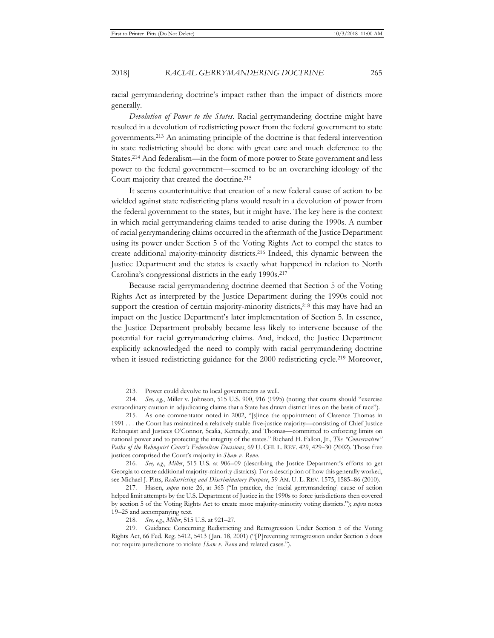racial gerrymandering doctrine's impact rather than the impact of districts more generally.

*Devolution of Power to the States.* Racial gerrymandering doctrine might have resulted in a devolution of redistricting power from the federal government to state governments.213 An animating principle of the doctrine is that federal intervention in state redistricting should be done with great care and much deference to the States.214 And federalism—in the form of more power to State government and less power to the federal government—seemed to be an overarching ideology of the Court majority that created the doctrine.215

It seems counterintuitive that creation of a new federal cause of action to be wielded against state redistricting plans would result in a devolution of power from the federal government to the states, but it might have. The key here is the context in which racial gerrymandering claims tended to arise during the 1990s. A number of racial gerrymandering claims occurred in the aftermath of the Justice Department using its power under Section 5 of the Voting Rights Act to compel the states to create additional majority-minority districts.216 Indeed, this dynamic between the Justice Department and the states is exactly what happened in relation to North Carolina's congressional districts in the early 1990s.217

Because racial gerrymandering doctrine deemed that Section 5 of the Voting Rights Act as interpreted by the Justice Department during the 1990s could not support the creation of certain majority-minority districts,<sup>218</sup> this may have had an impact on the Justice Department's later implementation of Section 5. In essence, the Justice Department probably became less likely to intervene because of the potential for racial gerrymandering claims. And, indeed, the Justice Department explicitly acknowledged the need to comply with racial gerrymandering doctrine when it issued redistricting guidance for the 2000 redistricting cycle.<sup>219</sup> Moreover,

<sup>213.</sup> Power could devolve to local governments as well.

<sup>214</sup>*. See, e.g.*, Miller v. Johnson, 515 U.S. 900, 916 (1995) (noting that courts should "exercise extraordinary caution in adjudicating claims that a State has drawn district lines on the basis of race").

<sup>215.</sup> As one commentator noted in 2002, "[s]ince the appointment of Clarence Thomas in 1991 . . . the Court has maintained a relatively stable five-justice majority—consisting of Chief Justice Rehnquist and Justices O'Connor, Scalia, Kennedy, and Thomas—committed to enforcing limits on national power and to protecting the integrity of the states." Richard H. Fallon, Jr., *The "Conservative" Paths of the Rehnquist Court's Federalism Decisions*, 69 U. CHI. L. REV. 429, 429–30 (2002). Those five justices comprised the Court's majority in *Shaw v. Reno*.

<sup>216</sup>*. See, e.g.*, *Miller*, 515 U.S. at 906–09 (describing the Justice Department's efforts to get Georgia to create additional majority-minority districts). For a description of how this generally worked, see Michael J. Pitts, *Redistricting and Discriminatory Purpose*, 59 AM. U. L. REV. 1575, 1585–86 (2010).

<sup>217.</sup> Hasen, *supra* note 26, at 365 ("In practice, the [racial gerrymandering] cause of action helped limit attempts by the U.S. Department of Justice in the 1990s to force jurisdictions then covered by section 5 of the Voting Rights Act to create more majority-minority voting districts."); *supra* notes 19–25 and accompanying text.

<sup>218</sup>*. See, e.g.*, *Miller*, 515 U.S. at 921–27.

<sup>219.</sup> Guidance Concerning Redistricting and Retrogression Under Section 5 of the Voting Rights Act, 66 Fed. Reg. 5412, 5413 ( Jan. 18, 2001) ("[P]reventing retrogression under Section 5 does not require jurisdictions to violate *Shaw v. Reno* and related cases.").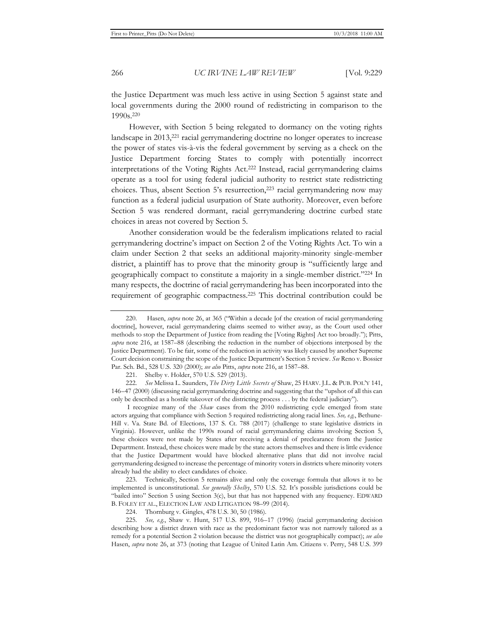the Justice Department was much less active in using Section 5 against state and local governments during the 2000 round of redistricting in comparison to the 1990s.220

However, with Section 5 being relegated to dormancy on the voting rights landscape in 2013,221 racial gerrymandering doctrine no longer operates to increase the power of states vis-à-vis the federal government by serving as a check on the Justice Department forcing States to comply with potentially incorrect interpretations of the Voting Rights Act.222 Instead, racial gerrymandering claims operate as a tool for using federal judicial authority to restrict state redistricting choices. Thus, absent Section 5's resurrection,<sup>223</sup> racial gerrymandering now may function as a federal judicial usurpation of State authority. Moreover, even before Section 5 was rendered dormant, racial gerrymandering doctrine curbed state choices in areas not covered by Section 5.

Another consideration would be the federalism implications related to racial gerrymandering doctrine's impact on Section 2 of the Voting Rights Act. To win a claim under Section 2 that seeks an additional majority-minority single-member district, a plaintiff has to prove that the minority group is "sufficiently large and geographically compact to constitute a majority in a single-member district."224 In many respects, the doctrine of racial gerrymandering has been incorporated into the requirement of geographic compactness.225 This doctrinal contribution could be

221. Shelby v. Holder, 570 U.S. 529 (2013).

222*. See* Melissa L. Saunders, *The Dirty Little Secrets of* Shaw, 25 HARV. J.L. & PUB. POL'Y 141, 146–47 (2000) (discussing racial gerrymandering doctrine and suggesting that the "upshot of all this can only be described as a hostile takeover of the districting process . . . by the federal judiciary").

 I recognize many of the *Shaw* cases from the 2010 redistricting cycle emerged from state actors arguing that compliance with Section 5 required redistricting along racial lines. *See, e.g.*, Bethune-Hill v. Va. State Bd. of Elections, 137 S. Ct. 788 (2017) (challenge to state legislative districts in Virginia). However, unlike the 1990s round of racial gerrymandering claims involving Section 5, these choices were not made by States after receiving a denial of preclearance from the Justice Department. Instead, these choices were made by the state actors themselves and there is little evidence that the Justice Department would have blocked alternative plans that did not involve racial gerrymandering designed to increase the percentage of minority voters in districts where minority voters already had the ability to elect candidates of choice.

223. Technically, Section 5 remains alive and only the coverage formula that allows it to be implemented is unconstitutional. *See generally Shelby*, 570 U.S. 52. It's possible jurisdictions could be "bailed into" Section 5 using Section 3(c), but that has not happened with any frequency. EDWARD B. FOLEY ET AL., ELECTION LAW AND LITIGATION 98–99 (2014).

224. Thornburg v. Gingles, 478 U.S. 30, 50 (1986).

225*. See, e.g.*, Shaw v. Hunt, 517 U.S. 899, 916–17 (1996) (racial gerrymandering decision describing how a district drawn with race as the predominant factor was not narrowly tailored as a remedy for a potential Section 2 violation because the district was not geographically compact); *see also* Hasen, *supra* note 26, at 373 (noting that League of United Latin Am. Citizens v. Perry, 548 U.S. 399

<sup>220.</sup> Hasen, *supra* note 26, at 365 ("Within a decade [of the creation of racial gerrymandering doctrine], however, racial gerrymandering claims seemed to wither away, as the Court used other methods to stop the Department of Justice from reading the [Voting Rights] Act too broadly."); Pitts, *supra* note 216, at 1587–88 (describing the reduction in the number of objections interposed by the Justice Department). To be fair, some of the reduction in activity was likely caused by another Supreme Court decision constraining the scope of the Justice Department's Section 5 review. *See* Reno v. Bossier Par. Sch. Bd., 528 U.S. 320 (2000); *see also* Pitts, *supra* note 216, at 1587–88.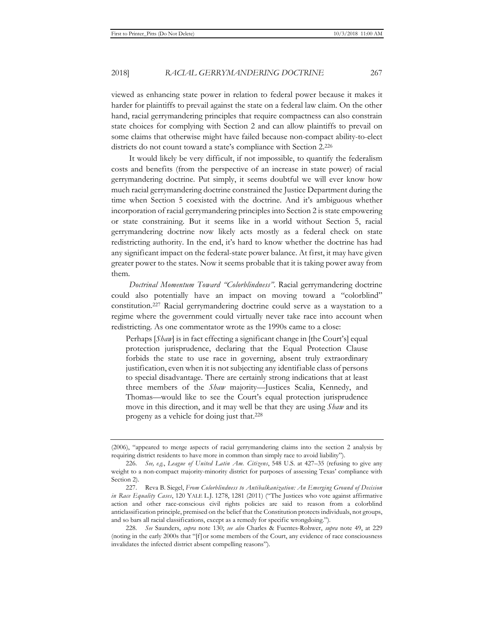viewed as enhancing state power in relation to federal power because it makes it harder for plaintiffs to prevail against the state on a federal law claim. On the other hand, racial gerrymandering principles that require compactness can also constrain state choices for complying with Section 2 and can allow plaintiffs to prevail on some claims that otherwise might have failed because non-compact ability-to-elect districts do not count toward a state's compliance with Section 2.226

It would likely be very difficult, if not impossible, to quantify the federalism costs and benefits (from the perspective of an increase in state power) of racial gerrymandering doctrine. Put simply, it seems doubtful we will ever know how much racial gerrymandering doctrine constrained the Justice Department during the time when Section 5 coexisted with the doctrine. And it's ambiguous whether incorporation of racial gerrymandering principles into Section 2 is state empowering or state constraining. But it seems like in a world without Section 5, racial gerrymandering doctrine now likely acts mostly as a federal check on state redistricting authority. In the end, it's hard to know whether the doctrine has had any significant impact on the federal-state power balance. At first, it may have given greater power to the states. Now it seems probable that it is taking power away from them.

*Doctrinal Momentum Toward "Colorblindness"*. Racial gerrymandering doctrine could also potentially have an impact on moving toward a "colorblind" constitution.227 Racial gerrymandering doctrine could serve as a waystation to a regime where the government could virtually never take race into account when redistricting. As one commentator wrote as the 1990s came to a close:

Perhaps [*Shaw*] is in fact effecting a significant change in [the Court's] equal protection jurisprudence, declaring that the Equal Protection Clause forbids the state to use race in governing, absent truly extraordinary justification, even when it is not subjecting any identifiable class of persons to special disadvantage. There are certainly strong indications that at least three members of the *Shaw* majority—Justices Scalia, Kennedy, and Thomas—would like to see the Court's equal protection jurisprudence move in this direction, and it may well be that they are using *Shaw* and its progeny as a vehicle for doing just that.228

<sup>(2006), &</sup>quot;appeared to merge aspects of racial gerrymandering claims into the section 2 analysis by requiring district residents to have more in common than simply race to avoid liability").

<sup>226</sup>*. See, e.g.*, *League of United Latin Am. Citizens*, 548 U.S. at 427–35 (refusing to give any weight to a non-compact majority-minority district for purposes of assessing Texas' compliance with Section 2).

<sup>227.</sup> Reva B. Siegel, *From Colorblindness to Antibalkanization: An Emerging Ground of Decision in Race Equality Cases*, 120 YALE L.J. 1278, 1281 (2011) ("The Justices who vote against affirmative action and other race-conscious civil rights policies are said to reason from a colorblind anticlassification principle, premised on the belief that the Constitution protects individuals, not groups, and so bars all racial classifications, except as a remedy for specific wrongdoing.").

<sup>228</sup>*. See* Saunders, *supra* note 130; *see also* Charles & Fuentes-Rohwer, *supra* note 49, at 229 (noting in the early 2000s that "[f]or some members of the Court, any evidence of race consciousness invalidates the infected district absent compelling reasons").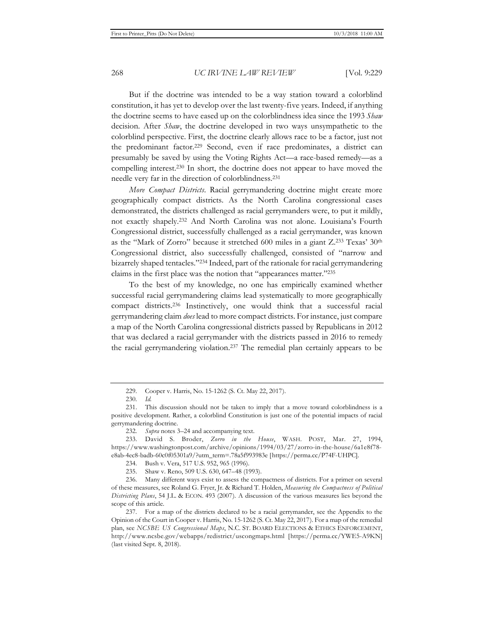But if the doctrine was intended to be a way station toward a colorblind constitution, it has yet to develop over the last twenty-five years. Indeed, if anything the doctrine seems to have eased up on the colorblindness idea since the 1993 *Shaw* decision. After *Shaw*, the doctrine developed in two ways unsympathetic to the colorblind perspective. First, the doctrine clearly allows race to be a factor, just not the predominant factor.229 Second, even if race predominates, a district can presumably be saved by using the Voting Rights Act—a race-based remedy—as a compelling interest.230 In short, the doctrine does not appear to have moved the needle very far in the direction of colorblindness.231

*More Compact Districts*. Racial gerrymandering doctrine might create more geographically compact districts. As the North Carolina congressional cases demonstrated, the districts challenged as racial gerrymanders were, to put it mildly, not exactly shapely.232 And North Carolina was not alone. Louisiana's Fourth Congressional district, successfully challenged as a racial gerrymander, was known as the "Mark of Zorro" because it stretched 600 miles in a giant Z.233 Texas' 30th Congressional district, also successfully challenged, consisted of "narrow and bizarrely shaped tentacles."234 Indeed, part of the rationale for racial gerrymandering claims in the first place was the notion that "appearances matter."235

To the best of my knowledge, no one has empirically examined whether successful racial gerrymandering claims lead systematically to more geographically compact districts.236 Instinctively, one would think that a successful racial gerrymandering claim *does* lead to more compact districts. For instance, just compare a map of the North Carolina congressional districts passed by Republicans in 2012 that was declared a racial gerrymander with the districts passed in 2016 to remedy the racial gerrymandering violation.237 The remedial plan certainly appears to be

<sup>229.</sup> Cooper v. Harris, No. 15-1262 (S. Ct. May 22, 2017).

<sup>230</sup>*. Id.*

<sup>231.</sup> This discussion should not be taken to imply that a move toward colorblindness is a positive development. Rather, a colorblind Constitution is just one of the potential impacts of racial gerrymandering doctrine.

<sup>232</sup>*. Supra* notes 3–24 and accompanying text.

<sup>233.</sup> David S. Broder, *Zorro in the House*, WASH. POST, Mar. 27, 1994, https://www.washingtonpost.com/archive/opinions/1994/03/27/zorro-in-the-house/6a1e8f78 e8ab-4ec8-badb-60c0f05301a9/?utm\_term=.78a5f993983e [https://perma.cc/P74F-UHPC].

<sup>234.</sup> Bush v. Vera, 517 U.S. 952, 965 (1996).

<sup>235.</sup> Shaw v. Reno, 509 U.S. 630, 647–48 (1993).

<sup>236.</sup> Many different ways exist to assess the compactness of districts. For a primer on several of these measures, see Roland G. Fryer, Jr. & Richard T. Holden, *Measuring the Compactness of Political Districting Plans*, 54 J.L. & ECON. 493 (2007). A discussion of the various measures lies beyond the scope of this article.

<sup>237.</sup> For a map of the districts declared to be a racial gerrymander, see the Appendix to the Opinion of the Court in Cooper v. Harris, No. 15-1262 (S. Ct. May 22, 2017). For a map of the remedial plan, see *NCSBE US Congressional Maps*, N.C. ST. BOARD ELECTIONS & ETHICS ENFORCEMENT, http://www.ncsbe.gov/webapps/redistrict/uscongmaps.html [https://perma.cc/YWE5-A9KN] (last visited Sept. 8, 2018).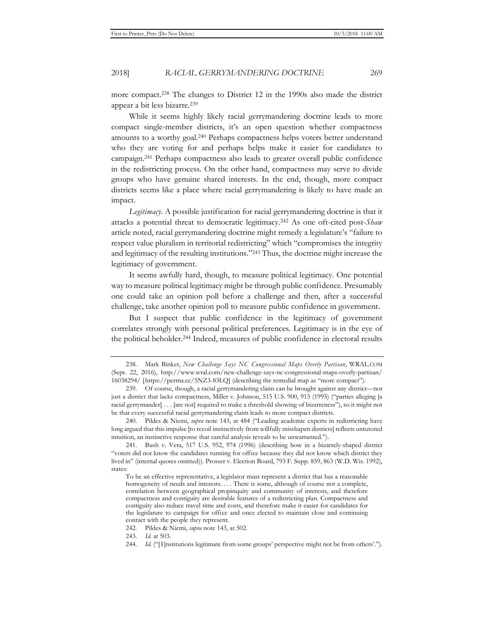more compact.238 The changes to District 12 in the 1990s also made the district appear a bit less bizarre.239

While it seems highly likely racial gerrymandering doctrine leads to more compact single-member districts, it's an open question whether compactness amounts to a worthy goal.240 Perhaps compactness helps voters better understand who they are voting for and perhaps helps make it easier for candidates to campaign.241 Perhaps compactness also leads to greater overall public confidence in the redistricting process. On the other hand, compactness may serve to divide groups who have genuine shared interests. In the end, though, more compact districts seems like a place where racial gerrymandering is likely to have made an impact.

*Legitimacy*. A possible justification for racial gerrymandering doctrine is that it attacks a potential threat to democratic legitimacy.242 As one oft-cited post-*Shaw*  article noted, racial gerrymandering doctrine might remedy a legislature's "failure to respect value pluralism in territorial redistricting" which "compromises the integrity and legitimacy of the resulting institutions."243 Thus, the doctrine might increase the legitimacy of government.

It seems awfully hard, though, to measure political legitimacy. One potential way to measure political legitimacy might be through public confidence. Presumably one could take an opinion poll before a challenge and then, after a successful challenge, take another opinion poll to measure public confidence in government.

But I suspect that public confidence in the legitimacy of government correlates strongly with personal political preferences. Legitimacy is in the eye of the political beholder.244 Indeed, measures of public confidence in electoral results

<sup>238.</sup> Mark Binker, *New Challenge Says NC Congressional Maps Overly Partisan*, WRAL.COM (Sept. 22, 2016), http://www.wral.com/new-challenge-says-nc-congressional-maps-overly-partisan/ 16038294/ [https://perma.cc/5NZ3-83LQ] (describing the remedial map as "more compact").

<sup>239.</sup> Of course, though, a racial gerrymandering claim can be brought against any district—not just a district that lacks compactness, Miller v. Johnson, 515 U.S. 900, 915 (1995) ("parties alleging [a racial gerrymander] . . . [are not] required to make a threshold showing of bizarreness"), so it might not be that every successful racial gerrymandering claim leads to more compact districts.

<sup>240.</sup> Pildes & Niemi, *supra* note 143, at 484 ("Leading academic experts in redistricting have long argued that this impulse [to recoil instinctively from willfully misshapen districts] reflects untutored intuition, an instinctive response that careful analysis reveals to be unwarranted.").

<sup>241.</sup> Bush v. Vera, 517 U.S. 952, 974 (1996) (describing how in a bizarrely-shaped district "voters did not know the candidates running for office because they did not know which district they lived in" (internal quotes omitted)). Prosser v. Election Board, 793 F. Supp. 859, 863 (W.D. Wis. 1992), states:

To be an effective representative, a legislator must represent a district that has a reasonable homogeneity of needs and interests. . . . There is some, although of course not a complete, correlation between geographical propinquity and community of interests, and therefore compactness and contiguity are desirable features of a redistricting plan. Compactness and contiguity also reduce travel time and costs, and therefore make it easier for candidates for the legislature to campaign for office and once elected to maintain close and continuing contact with the people they represent.

<sup>242.</sup> Pildes & Niemi, *supra* note 143, at 502.

<sup>243.</sup> *Id.* at 503.

<sup>244.</sup> *Id.* ("[I]nstitutions legitimate from some groups' perspective might not be from others'.").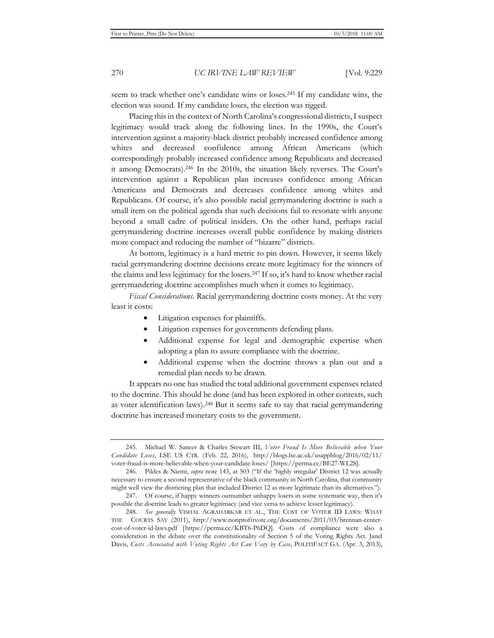seem to track whether one's candidate wins or loses.245 If my candidate wins, the election was sound. If my candidate loses, the election was rigged.

Placing this in the context of North Carolina's congressional districts, I suspect legitimacy would track along the following lines. In the 1990s, the Court's intervention against a majority-black district probably increased confidence among whites and decreased confidence among African Americans (which correspondingly probably increased confidence among Republicans and decreased it among Democrats).246 In the 2010s, the situation likely reverses. The Court's intervention against a Republican plan increases confidence among African Americans and Democrats and decreases confidence among whites and Republicans. Of course, it's also possible racial gerrymandering doctrine is such a small item on the political agenda that such decisions fail to resonate with anyone beyond a small cadre of political insiders. On the other hand, perhaps racial gerrymandering doctrine increases overall public confidence by making districts more compact and reducing the number of "bizarre" districts.

At bottom, legitimacy is a hard metric to pin down. However, it seems likely racial gerrymandering doctrine decisions create more legitimacy for the winners of the claims and less legitimacy for the losers.247 If so, it's hard to know whether racial gerrymandering doctrine accomplishes much when it comes to legitimacy.

*Fiscal Considerations*. Racial gerrymandering doctrine costs money. At the very least it costs:

- Litigation expenses for plaintiffs.
- Litigation expenses for governments defending plans.
- Additional expense for legal and demographic expertise when adopting a plan to assure compliance with the doctrine.
- Additional expense when the doctrine throws a plan out and a remedial plan needs to be drawn.

It appears no one has studied the total additional government expenses related to the doctrine. This should be done (and has been explored in other contexts, such as voter identification laws).248 But it seems safe to say that racial gerrymandering doctrine has increased monetary costs to the government.

<sup>245.</sup> Michael W. Sancer & Charles Stewart III, *Voter Fraud Is More Believable when Your Candidate Loses*, LSE US CTR. (Feb. 22, 2016), http://blogs.lse.ac.uk/usappblog/2016/02/11/ voter-fraud-is-more-believable-when-your-candidate-loses/ [https://perma.cc/BE27-WL2S].

<sup>246.</sup> Pildes & Niemi, *supra* note 143, at 503 ("If the 'highly irregular' District 12 was actually necessary to ensure a second representative of the black community in North Carolina, that community might well view the districting plan that included District 12 as more legitimate than its alternatives.").

<sup>247.</sup> Of course, if happy winners outnumber unhappy losers in some systematic way, then it's possible the doctrine leads to greater legitimacy (and vice versa to achieve lesser legitimacy).

<sup>248</sup>*. See generally* VISHAL AGRAHARKAR ET AL., THE COST OF VOTER ID LAWS: WHAT THE COURTS SAY (2011), http://www.nonprofitvote.org/documents/2011/03/brennan-centercost-of-voter-id-laws.pdf [https://perma.cc/KBT6-P6DQ]. Costs of compliance were also a consideration in the debate over the constitutionality of Section 5 of the Voting Rights Act. Janel Davis, *Costs Associated with Voting Rights Act Can Vary by Case*, POLITIFACT GA. (Apr. 3, 2013),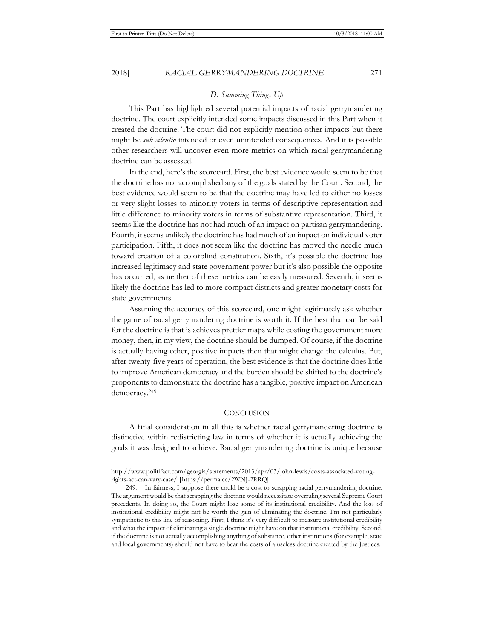This Part has highlighted several potential impacts of racial gerrymandering doctrine. The court explicitly intended some impacts discussed in this Part when it created the doctrine. The court did not explicitly mention other impacts but there might be *sub silentio* intended or even unintended consequences. And it is possible other researchers will uncover even more metrics on which racial gerrymandering doctrine can be assessed.

In the end, here's the scorecard. First, the best evidence would seem to be that the doctrine has not accomplished any of the goals stated by the Court. Second, the best evidence would seem to be that the doctrine may have led to either no losses or very slight losses to minority voters in terms of descriptive representation and little difference to minority voters in terms of substantive representation. Third, it seems like the doctrine has not had much of an impact on partisan gerrymandering. Fourth, it seems unlikely the doctrine has had much of an impact on individual voter participation. Fifth, it does not seem like the doctrine has moved the needle much toward creation of a colorblind constitution. Sixth, it's possible the doctrine has increased legitimacy and state government power but it's also possible the opposite has occurred, as neither of these metrics can be easily measured. Seventh, it seems likely the doctrine has led to more compact districts and greater monetary costs for state governments.

Assuming the accuracy of this scorecard, one might legitimately ask whether the game of racial gerrymandering doctrine is worth it. If the best that can be said for the doctrine is that is achieves prettier maps while costing the government more money, then, in my view, the doctrine should be dumped. Of course, if the doctrine is actually having other, positive impacts then that might change the calculus. But, after twenty-five years of operation, the best evidence is that the doctrine does little to improve American democracy and the burden should be shifted to the doctrine's proponents to demonstrate the doctrine has a tangible, positive impact on American democracy.249

#### **CONCLUSION**

A final consideration in all this is whether racial gerrymandering doctrine is distinctive within redistricting law in terms of whether it is actually achieving the goals it was designed to achieve. Racial gerrymandering doctrine is unique because

http://www.politifact.com/georgia/statements/2013/apr/03/john-lewis/costs-associated-votingrights-act-can-vary-case/ [https://perma.cc/2WNJ-2RRQ].

<sup>249.</sup> In fairness, I suppose there could be a cost to scrapping racial gerrymandering doctrine. The argument would be that scrapping the doctrine would necessitate overruling several Supreme Court precedents. In doing so, the Court might lose some of its institutional credibility. And the loss of institutional credibility might not be worth the gain of eliminating the doctrine. I'm not particularly sympathetic to this line of reasoning. First, I think it's very difficult to measure institutional credibility and what the impact of eliminating a single doctrine might have on that institutional credibility. Second, if the doctrine is not actually accomplishing anything of substance, other institutions (for example, state and local governments) should not have to bear the costs of a useless doctrine created by the Justices.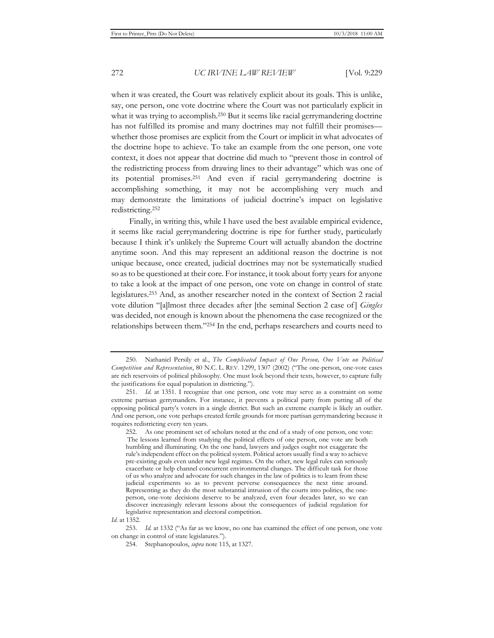when it was created, the Court was relatively explicit about its goals. This is unlike, say, one person, one vote doctrine where the Court was not particularly explicit in what it was trying to accomplish.<sup>250</sup> But it seems like racial gerrymandering doctrine has not fulfilled its promise and many doctrines may not fulfill their promises whether those promises are explicit from the Court or implicit in what advocates of the doctrine hope to achieve. To take an example from the one person, one vote context, it does not appear that doctrine did much to "prevent those in control of the redistricting process from drawing lines to their advantage" which was one of its potential promises.251 And even if racial gerrymandering doctrine is accomplishing something, it may not be accomplishing very much and may demonstrate the limitations of judicial doctrine's impact on legislative redistricting.252

Finally, in writing this, while I have used the best available empirical evidence, it seems like racial gerrymandering doctrine is ripe for further study, particularly because I think it's unlikely the Supreme Court will actually abandon the doctrine anytime soon. And this may represent an additional reason the doctrine is not unique because, once created, judicial doctrines may not be systematically studied so as to be questioned at their core. For instance, it took about forty years for anyone to take a look at the impact of one person, one vote on change in control of state legislatures.253 And, as another researcher noted in the context of Section 2 racial vote dilution "[a]lmost three decades after [the seminal Section 2 case of ] *Gingles*  was decided, not enough is known about the phenomena the case recognized or the relationships between them."254 In the end, perhaps researchers and courts need to

<sup>250.</sup> Nathaniel Persily et al., *The Complicated Impact of One Person, One Vote on Political Competition and Representation*, 80 N.C. L. REV. 1299, 1307 (2002) ("The one-person, one-vote cases are rich reservoirs of political philosophy. One must look beyond their texts, however, to capture fully the justifications for equal population in districting.").

<sup>251.</sup> *Id.* at 1351. I recognize that one person, one vote may serve as a constraint on some extreme partisan gerrymanders. For instance, it prevents a political party from putting all of the opposing political party's voters in a single district. But such an extreme example is likely an outlier. And one person, one vote perhaps created fertile grounds for more partisan gerrymandering because it requires redistricting every ten years.

<sup>252.</sup> As one prominent set of scholars noted at the end of a study of one person, one vote: The lessons learned from studying the political effects of one person, one vote are both humbling and illuminating. On the one hand, lawyers and judges ought not exaggerate the rule's independent effect on the political system. Political actors usually find a way to achieve pre-existing goals even under new legal regimes. On the other, new legal rules can seriously exacerbate or help channel concurrent environmental changes. The difficult task for those of us who analyze and advocate for such changes in the law of politics is to learn from these judicial experiments so as to prevent perverse consequences the next time around. Representing as they do the most substantial intrusion of the courts into politics, the oneperson, one-vote decisions deserve to be analyzed, even four decades later, so we can discover increasingly relevant lessons about the consequences of judicial regulation for legislative representation and electoral competition.

*Id.* at 1352.

<sup>253.</sup> *Id.* at 1332 ("As far as we know, no one has examined the effect of one person, one vote on change in control of state legislatures.").

<sup>254.</sup> Stephanopoulos, *supra* note 115, at 1327.